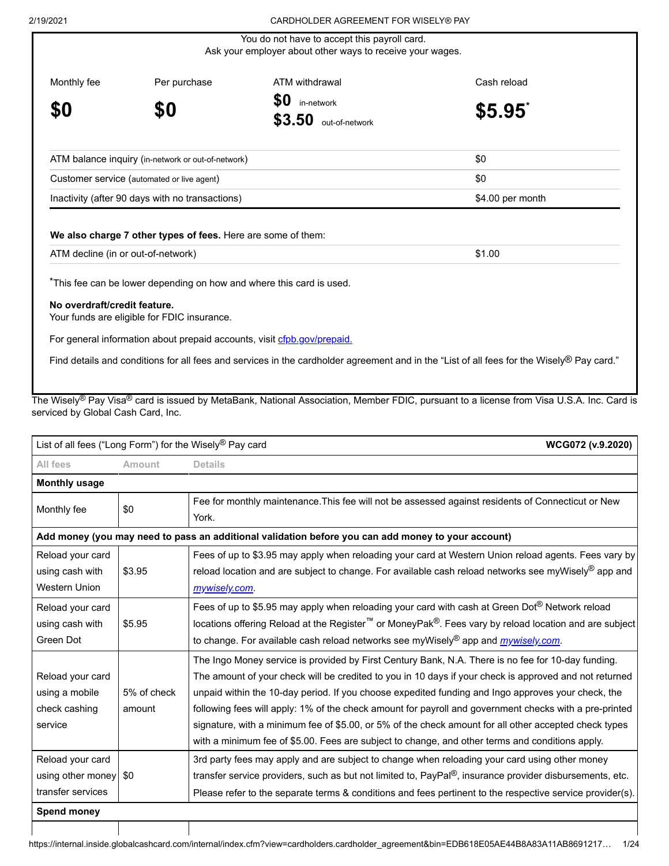|                                            | <u>UARDHULDER AGREEMENT FÜR WISELT® PAT</u>   |                                                                                                                                                                                                                    |
|--------------------------------------------|-----------------------------------------------|--------------------------------------------------------------------------------------------------------------------------------------------------------------------------------------------------------------------|
|                                            |                                               |                                                                                                                                                                                                                    |
| Per purchase                               | ATM withdrawal                                | Cash reload                                                                                                                                                                                                        |
| \$0                                        | \$0<br>in-network<br>\$3.50<br>out-of-network | \$5.95                                                                                                                                                                                                             |
|                                            |                                               | \$0                                                                                                                                                                                                                |
| Customer service (automated or live agent) |                                               | \$0                                                                                                                                                                                                                |
|                                            |                                               | \$4.00 per month                                                                                                                                                                                                   |
|                                            |                                               | You do not have to accept this payroll card.<br>Ask your employer about other ways to receive your wages.<br>ATM balance inquiry (in-network or out-of-network)<br>Inactivity (after 90 days with no transactions) |

# **We also charge 7 other types of fees.** Here are some of them:

| ATM decline (in or out-of-network) | \$1.00 |
|------------------------------------|--------|
|------------------------------------|--------|

\*This fee can be lower depending on how and where this card is used.

# **No overdraft/credit feature.**

Your funds are eligible for FDIC insurance.

For general information about prepaid accounts, visit [cfpb.gov/prepaid.](http://cfpb.gov/prepaid)

Find details and conditions for all fees and services in the cardholder agreement and in the "List of all fees for the Wisely® Pay card."

The Wisely<sup>®</sup> Pay Visa<sup>®</sup> card is issued by MetaBank, National Association, Member FDIC, pursuant to a license from Visa U.S.A. Inc. Card is serviced by Global Cash Card, Inc.

| List of all fees ("Long Form") for the Wisely® Pay card<br>WCG072 (v.9.2020) |             |                                                                                                                   |
|------------------------------------------------------------------------------|-------------|-------------------------------------------------------------------------------------------------------------------|
| All fees                                                                     | Amount      | <b>Details</b>                                                                                                    |
| <b>Monthly usage</b>                                                         |             |                                                                                                                   |
| Monthly fee                                                                  | \$0         | Fee for monthly maintenance. This fee will not be assessed against residents of Connecticut or New<br>York.       |
|                                                                              |             | Add money (you may need to pass an additional validation before you can add money to your account)                |
| Reload your card                                                             |             | Fees of up to \$3.95 may apply when reloading your card at Western Union reload agents. Fees vary by              |
| using cash with                                                              | \$3.95      | reload location and are subject to change. For available cash reload networks see myWisely® app and               |
| <b>Western Union</b>                                                         |             | mywisely.com.                                                                                                     |
| Reload your card                                                             |             | Fees of up to \$5.95 may apply when reloading your card with cash at Green Dot <sup>®</sup> Network reload        |
| using cash with                                                              | \$5.95      | locations offering Reload at the Register <sup>™</sup> or MoneyPak®. Fees vary by reload location and are subject |
| Green Dot                                                                    |             | to change. For available cash reload networks see myWisely® app and <i>mywisely.com</i> .                         |
|                                                                              |             | The Ingo Money service is provided by First Century Bank, N.A. There is no fee for 10-day funding.                |
| Reload your card                                                             |             | The amount of your check will be credited to you in 10 days if your check is approved and not returned            |
| using a mobile                                                               | 5% of check | unpaid within the 10-day period. If you choose expedited funding and Ingo approves your check, the                |
| check cashing                                                                | amount      | following fees will apply: 1% of the check amount for payroll and government checks with a pre-printed            |
| service                                                                      |             | signature, with a minimum fee of \$5.00, or 5% of the check amount for all other accepted check types             |
|                                                                              |             | with a minimum fee of \$5.00. Fees are subject to change, and other terms and conditions apply.                   |
| Reload your card                                                             |             | 3rd party fees may apply and are subject to change when reloading your card using other money                     |
| using other money                                                            | \$0         | transfer service providers, such as but not limited to, PayPal®, insurance provider disbursements, etc.           |
| transfer services                                                            |             | Please refer to the separate terms & conditions and fees pertinent to the respective service provider(s).         |
| <b>Spend money</b>                                                           |             |                                                                                                                   |
|                                                                              |             |                                                                                                                   |

 $\mathbf{I}$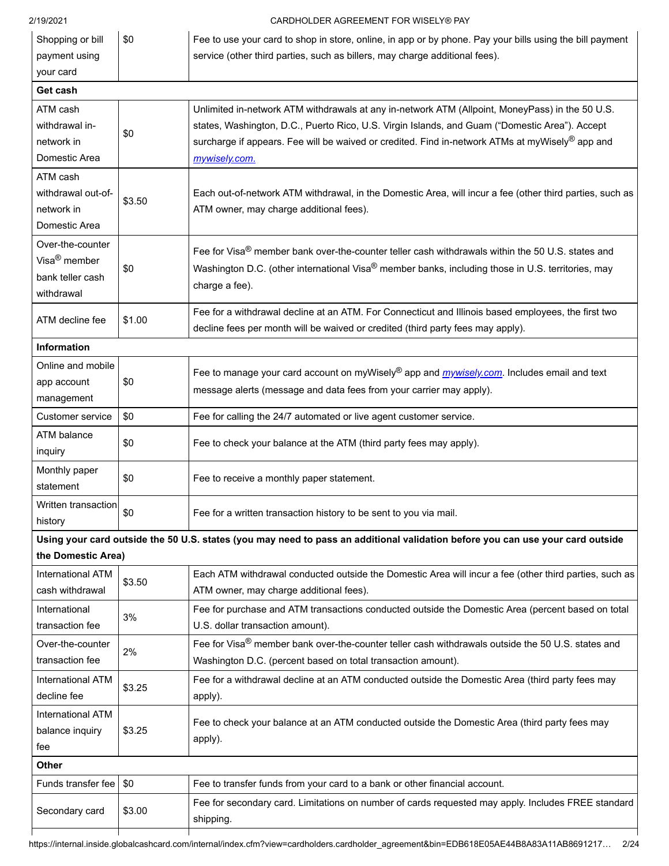| Shopping or bill                                                               | \$0    | Fee to use your card to shop in store, online, in app or by phone. Pay your bills using the bill payment                                                                                                                                                                                                              |  |
|--------------------------------------------------------------------------------|--------|-----------------------------------------------------------------------------------------------------------------------------------------------------------------------------------------------------------------------------------------------------------------------------------------------------------------------|--|
| payment using                                                                  |        | service (other third parties, such as billers, may charge additional fees).                                                                                                                                                                                                                                           |  |
| your card                                                                      |        |                                                                                                                                                                                                                                                                                                                       |  |
| Get cash                                                                       |        |                                                                                                                                                                                                                                                                                                                       |  |
| ATM cash<br>withdrawal in-<br>network in<br>Domestic Area                      | \$0    | Unlimited in-network ATM withdrawals at any in-network ATM (Allpoint, MoneyPass) in the 50 U.S.<br>states, Washington, D.C., Puerto Rico, U.S. Virgin Islands, and Guam ("Domestic Area"). Accept<br>surcharge if appears. Fee will be waived or credited. Find in-network ATMs at myWisely® app and<br>mywisely.com. |  |
| ATM cash<br>withdrawal out-of-<br>network in<br>Domestic Area                  | \$3.50 | Each out-of-network ATM withdrawal, in the Domestic Area, will incur a fee (other third parties, such as<br>ATM owner, may charge additional fees).                                                                                                                                                                   |  |
| Over-the-counter<br>Visa <sup>®</sup> member<br>bank teller cash<br>withdrawal | \$0    | Fee for Visa <sup>®</sup> member bank over-the-counter teller cash withdrawals within the 50 U.S. states and<br>Washington D.C. (other international Visa® member banks, including those in U.S. territories, may<br>charge a fee).                                                                                   |  |
| ATM decline fee                                                                | \$1.00 | Fee for a withdrawal decline at an ATM. For Connecticut and Illinois based employees, the first two<br>decline fees per month will be waived or credited (third party fees may apply).                                                                                                                                |  |
| Information                                                                    |        |                                                                                                                                                                                                                                                                                                                       |  |
| Online and mobile<br>app account<br>management                                 | \$0    | Fee to manage your card account on myWisely® app and <i>mywisely.com</i> . Includes email and text<br>message alerts (message and data fees from your carrier may apply).                                                                                                                                             |  |
| Customer service                                                               | \$0    | Fee for calling the 24/7 automated or live agent customer service.                                                                                                                                                                                                                                                    |  |
| ATM balance<br>inquiry                                                         | \$0    | Fee to check your balance at the ATM (third party fees may apply).                                                                                                                                                                                                                                                    |  |
| Monthly paper<br>statement                                                     | \$0    | Fee to receive a monthly paper statement.                                                                                                                                                                                                                                                                             |  |
| Written transaction<br>history                                                 | \$0    | Fee for a written transaction history to be sent to you via mail.                                                                                                                                                                                                                                                     |  |
|                                                                                |        | Using your card outside the 50 U.S. states (you may need to pass an additional validation before you can use your card outside                                                                                                                                                                                        |  |
| the Domestic Area)                                                             |        |                                                                                                                                                                                                                                                                                                                       |  |
| <b>International ATM</b><br>cash withdrawal                                    | \$3.50 | Each ATM withdrawal conducted outside the Domestic Area will incur a fee (other third parties, such as<br>ATM owner, may charge additional fees).                                                                                                                                                                     |  |
| International<br>transaction fee                                               | 3%     | Fee for purchase and ATM transactions conducted outside the Domestic Area (percent based on total<br>U.S. dollar transaction amount).                                                                                                                                                                                 |  |
| Over-the-counter<br>transaction fee                                            | 2%     | Fee for Visa <sup>®</sup> member bank over-the-counter teller cash withdrawals outside the 50 U.S. states and<br>Washington D.C. (percent based on total transaction amount).                                                                                                                                         |  |
| <b>International ATM</b><br>decline fee                                        | \$3.25 | Fee for a withdrawal decline at an ATM conducted outside the Domestic Area (third party fees may<br>apply).                                                                                                                                                                                                           |  |
| International ATM<br>balance inquiry<br>fee                                    | \$3.25 | Fee to check your balance at an ATM conducted outside the Domestic Area (third party fees may<br>apply).                                                                                                                                                                                                              |  |
| <b>Other</b>                                                                   |        |                                                                                                                                                                                                                                                                                                                       |  |
| Funds transfer fee                                                             | \$0    | Fee to transfer funds from your card to a bank or other financial account.                                                                                                                                                                                                                                            |  |
| Secondary card                                                                 | \$3.00 | Fee for secondary card. Limitations on number of cards requested may apply. Includes FREE standard<br>shipping.                                                                                                                                                                                                       |  |
|                                                                                |        |                                                                                                                                                                                                                                                                                                                       |  |

[https://internal.inside.globalcashcard.com/internal/index.cfm?view=cardholders.cardholder\\_agreement&bin=EDB618E05AE44B8A83A11AB8691217](https://internal.inside.globalcashcard.com/internal/index.cfm?view=cardholders.cardholder_agreement&bin=EDB618E05AE44B8A83A11AB8691217)… 2/24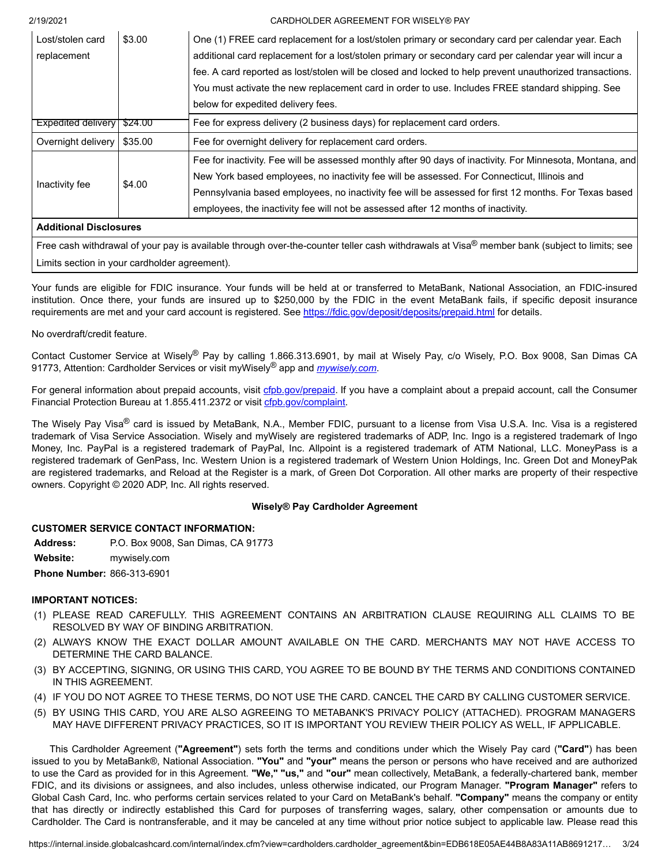| Lost/stolen card              | \$3.00 | One (1) FREE card replacement for a lost/stolen primary or secondary card per calendar year. Each         |  |
|-------------------------------|--------|-----------------------------------------------------------------------------------------------------------|--|
| replacement                   |        | additional card replacement for a lost/stolen primary or secondary card per calendar year will incur a    |  |
|                               |        | fee. A card reported as lost/stolen will be closed and locked to help prevent unauthorized transactions.  |  |
|                               |        | You must activate the new replacement card in order to use. Includes FREE standard shipping. See          |  |
|                               |        | below for expedited delivery fees.                                                                        |  |
| Expedited delivery   \$24.00  |        | Fee for express delivery (2 business days) for replacement card orders.                                   |  |
| Overnight delivery   \$35.00  |        | Fee for overnight delivery for replacement card orders.                                                   |  |
|                               |        | Fee for inactivity. Fee will be assessed monthly after 90 days of inactivity. For Minnesota, Montana, and |  |
| Inactivity fee                | \$4.00 | New York based employees, no inactivity fee will be assessed. For Connecticut, Illinois and               |  |
|                               |        | Pennsylvania based employees, no inactivity fee will be assessed for first 12 months. For Texas based     |  |
|                               |        | employees, the inactivity fee will not be assessed after 12 months of inactivity.                         |  |
| <b>Additional Disclosures</b> |        |                                                                                                           |  |

Free cash withdrawal of your pay is available through over-the-counter teller cash withdrawals at Visa® member bank (subject to limits; see Limits section in your cardholder agreement).

Your funds are eligible for FDIC insurance. Your funds will be held at or transferred to MetaBank, National Association, an FDIC-insured institution. Once there, your funds are insured up to \$250,000 by the FDIC in the event MetaBank fails, if specific deposit insurance requirements are met and your card account is registered. See <https://fdic.gov/deposit/deposits/prepaid.html>for details.

# No overdraft/credit feature.

Contact Customer Service at Wisely® Pay by calling 1.866.313.6901, by mail at Wisely Pay, c/o Wisely, P.O. Box 9008, San Dimas CA 91773, Attention: Cardholder Services or visit myWisely® app and *[mywisely.com](http://mywisely.com/)*.

For general information about prepaid accounts, visit [cfpb.gov/prepaid.](http://cfpb.gov/prepaid) If you have a complaint about a prepaid account, call the Consumer Financial Protection Bureau at 1.855.411.2372 or visit [cfpb.gov/complaint](http://cfpb.gov/complaint).

The Wisely Pay Visa<sup>®</sup> card is issued by MetaBank, N.A., Member FDIC, pursuant to a license from Visa U.S.A. Inc. Visa is a registered trademark of Visa Service Association. Wisely and myWisely are registered trademarks of ADP, Inc. Ingo is a registered trademark of Ingo Money, Inc. PayPal is a registered trademark of PayPal, Inc. Allpoint is a registered trademark of ATM National, LLC. MoneyPass is a registered trademark of GenPass, Inc. Western Union is a registered trademark of Western Union Holdings, Inc. Green Dot and MoneyPak are registered trademarks, and Reload at the Register is a mark, of Green Dot Corporation. All other marks are property of their respective owners. Copyright © 2020 ADP, Inc. All rights reserved.

# **Wisely® Pay Cardholder Agreement**

# **CUSTOMER SERVICE CONTACT INFORMATION:**

**Address:** P.O. Box 9008, San Dimas, CA 91773

**Website:** [mywisely.com](https://mywisely.com)

**Phone Number:** 866-313-6901

# **IMPORTANT NOTICES:**

- (1) PLEASE READ CAREFULLY. THIS AGREEMENT CONTAINS AN ARBITRATION CLAUSE REQUIRING ALL CLAIMS TO BE RESOLVED BY WAY OF BINDING ARBITRATION.
- (2) ALWAYS KNOW THE EXACT DOLLAR AMOUNT AVAILABLE ON THE CARD. MERCHANTS MAY NOT HAVE ACCESS TO DETERMINE THE CARD BALANCE.
- (3) BY ACCEPTING, SIGNING, OR USING THIS CARD, YOU AGREE TO BE BOUND BY THE TERMS AND CONDITIONS CONTAINED IN THIS AGREEMENT.
- (4) IF YOU DO NOT AGREE TO THESE TERMS, DO NOT USE THE CARD. CANCEL THE CARD BY CALLING CUSTOMER SERVICE.
- (5) BY USING THIS CARD, YOU ARE ALSO AGREEING TO METABANK'S PRIVACY POLICY (ATTACHED). PROGRAM MANAGERS MAY HAVE DIFFERENT PRIVACY PRACTICES, SO IT IS IMPORTANT YOU REVIEW THEIR POLICY AS WELL, IF APPLICABLE.

 to use the Card as provided for in this Agreement. **"We," "us,"** and **"our"** mean collectively, MetaBank, a federally-chartered bank, member This Cardholder Agreement (**"Agreement"**) sets forth the terms and conditions under which the Wisely Pay card (**"Card"**) has been issued to you by MetaBank®, National Association. **"You"** and **"your"** means the person or persons who have received and are authorized FDIC, and its divisions or assignees, and also includes, unless otherwise indicated, our Program Manager. **"Program Manager"** refers to Global Cash Card, Inc. who performs certain services related to your Card on MetaBank's behalf. **"Company"** means the company or entity that has directly or indirectly established this Card for purposes of transferring wages, salary, other compensation or amounts due to Cardholder. The Card is nontransferable, and it may be canceled at any time without prior notice subject to applicable law. Please read this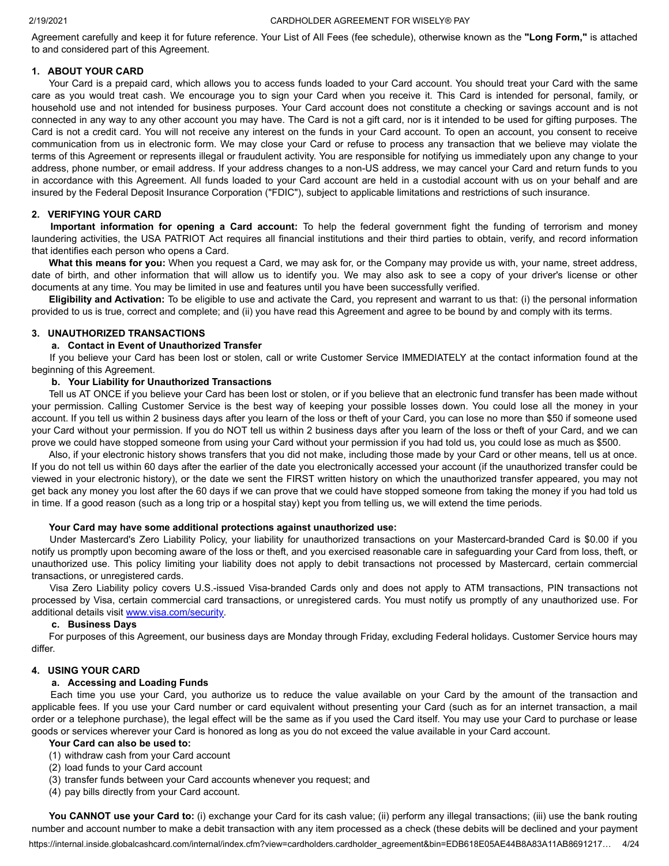Agreement carefully and keep it for future reference. Your List of All Fees (fee schedule), otherwise known as the **"Long Form,"** is attached to and considered part of this Agreement.

# **1. ABOUT YOUR CARD**

Your Card is a prepaid card, which allows you to access funds loaded to your Card account. You should treat your Card with the same care as you would treat cash. We encourage you to sign your Card when you receive it. This Card is intended for personal, family, or household use and not intended for business purposes. Your Card account does not constitute a checking or savings account and is not connected in any way to any other account you may have. The Card is not a gift card, nor is it intended to be used for gifting purposes. The Card is not a credit card. You will not receive any interest on the funds in your Card account. To open an account, you consent to receive communication from us in electronic form. We may close your Card or refuse to process any transaction that we believe may violate the terms of this Agreement or represents illegal or fraudulent activity. You are responsible for notifying us immediately upon any change to your address, phone number, or email address. If your address changes to a non-US address, we may cancel your Card and return funds to you in accordance with this Agreement. All funds loaded to your Card account are held in a custodial account with us on your behalf and are insured by the Federal Deposit Insurance Corporation ("FDIC"), subject to applicable limitations and restrictions of such insurance.

# **2. VERIFYING YOUR CARD**

**Important information for opening a Card account:** To help the federal government fight the funding of terrorism and money laundering activities, the USA PATRIOT Act requires all financial institutions and their third parties to obtain, verify, and record information that identifies each person who opens a Card.

**What this means for you:** When you request a Card, we may ask for, or the Company may provide us with, your name, street address, date of birth, and other information that will allow us to identify you. We may also ask to see a copy of your driver's license or other documents at any time. You may be limited in use and features until you have been successfully verified.

**Eligibility and Activation:** To be eligible to use and activate the Card, you represent and warrant to us that: (i) the personal information provided to us is true, correct and complete; and (ii) you have read this Agreement and agree to be bound by and comply with its terms.

# **3. UNAUTHORIZED TRANSACTIONS**

# **a. Contact in Event of Unauthorized Transfer**

If you believe your Card has been lost or stolen, call or write Customer Service IMMEDIATELY at the contact information found at the beginning of this Agreement.

# **b. Your Liability for Unauthorized Transactions**

Tell us AT ONCE if you believe your Card has been lost or stolen, or if you believe that an electronic fund transfer has been made without your permission. Calling Customer Service is the best way of keeping your possible losses down. You could lose all the money in your account. If you tell us within 2 business days after you learn of the loss or theft of your Card, you can lose no more than \$50 if someone used your Card without your permission. If you do NOT tell us within 2 business days after you learn of the loss or theft of your Card, and we can prove we could have stopped someone from using your Card without your permission if you had told us, you could lose as much as \$500.

Also, if your electronic history shows transfers that you did not make, including those made by your Card or other means, tell us at once. If you do not tell us within 60 days after the earlier of the date you electronically accessed your account (if the unauthorized transfer could be viewed in your electronic history), or the date we sent the FIRST written history on which the unauthorized transfer appeared, you may not get back any money you lost after the 60 days if we can prove that we could have stopped someone from taking the money if you had told us in time. If a good reason (such as a long trip or a hospital stay) kept you from telling us, we will extend the time periods.

# **Your Card may have some additional protections against unauthorized use:**

Under Mastercard's Zero Liability Policy, your liability for unauthorized transactions on your Mastercard-branded Card is \$0.00 if you notify us promptly upon becoming aware of the loss or theft, and you exercised reasonable care in safeguarding your Card from loss, theft, or unauthorized use. This policy limiting your liability does not apply to debit transactions not processed by Mastercard, certain commercial transactions, or unregistered cards.

Visa Zero Liability policy covers U.S.-issued Visa-branded Cards only and does not apply to ATM transactions, PIN transactions not processed by Visa, certain commercial card transactions, or unregistered cards. You must notify us promptly of any unauthorized use. For additional details visit [www.visa.com/security](https://internal.inside.globalcashcard.com/internal/www.visa.com/security).

# **c. Business Days**

For purposes of this Agreement, our business days are Monday through Friday, excluding Federal holidays. Customer Service hours may differ.

# **4. USING YOUR CARD**

# **a. Accessing and Loading Funds**

Each time you use your Card, you authorize us to reduce the value available on your Card by the amount of the transaction and applicable fees. If you use your Card number or card equivalent without presenting your Card (such as for an internet transaction, a mail order or a telephone purchase), the legal effect will be the same as if you used the Card itself. You may use your Card to purchase or lease goods or services wherever your Card is honored as long as you do not exceed the value available in your Card account.

# **Your Card can also be used to:**

- (1) withdraw cash from your Card account
- (2) load funds to your Card account
- (3) transfer funds between your Card accounts whenever you request; and
- (4) pay bills directly from your Card account.

**You CANNOT use your Card to:** (i) exchange your Card for its cash value; (ii) perform any illegal transactions; (iii) use the bank routing number and account number to make a debit transaction with any item processed as a check (these debits will be declined and your payment

[https://internal.inside.globalcashcard.com/internal/index.cfm?view=cardholders.cardholder\\_agreement&bin=EDB618E05AE44B8A83A11AB8691217](https://internal.inside.globalcashcard.com/internal/index.cfm?view=cardholders.cardholder_agreement&bin=EDB618E05AE44B8A83A11AB8691217)… 4/24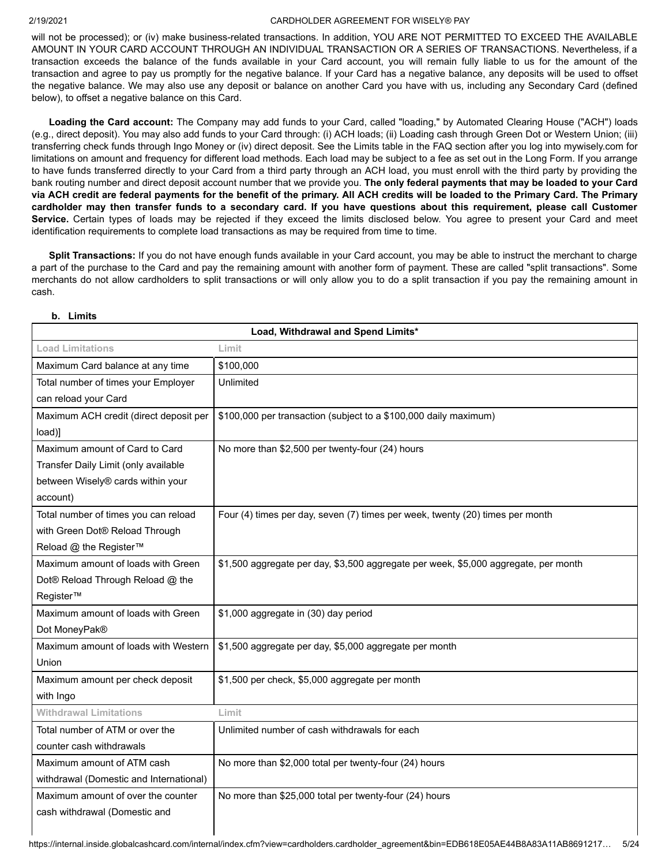will not be processed); or (iv) make business-related transactions. In addition, YOU ARE NOT PERMITTED TO EXCEED THE AVAILABLE AMOUNT IN YOUR CARD ACCOUNT THROUGH AN INDIVIDUAL TRANSACTION OR A SERIES OF TRANSACTIONS. Nevertheless, if a transaction exceeds the balance of the funds available in your Card account, you will remain fully liable to us for the amount of the transaction and agree to pay us promptly for the negative balance. If your Card has a negative balance, any deposits will be used to offset the negative balance. We may also use any deposit or balance on another Card you have with us, including any Secondary Card (defined below), to offset a negative balance on this Card.

**Loading the Card account:** The Company may add funds to your Card, called "loading," by Automated Clearing House ("ACH") loads (e.g., direct deposit). You may also add funds to your Card through: (i) ACH loads; (ii) Loading cash through Green Dot or Western Union; (iii) transferring check funds through Ingo Money or (iv) direct deposit. See the Limits table in the FAQ section after you log into [mywisely.com](https://mywisely.com) for limitations on amount and frequency for different load methods. Each load may be subject to a fee as set out in the Long Form. If you arrange to have funds transferred directly to your Card from a third party through an ACH load, you must enroll with the third party by providing the bank routing number and direct deposit account number that we provide you. **The only federal payments that may be loaded to your Card via ACH credit are federal payments for the benefit of the primary. All ACH credits will be loaded to the Primary Card. The Primary cardholder may then transfer funds to a secondary card. If you have questions about this requirement, please call Customer Service.** Certain types of loads may be rejected if they exceed the limits disclosed below. You agree to present your Card and meet identification requirements to complete load transactions as may be required from time to time.

**Split Transactions:** If you do not have enough funds available in your Card account, you may be able to instruct the merchant to charge a part of the purchase to the Card and pay the remaining amount with another form of payment. These are called "split transactions". Some merchants do not allow cardholders to split transactions or will only allow you to do a split transaction if you pay the remaining amount in cash.

| Load, Withdrawal and Spend Limits*      |                                                                                     |  |
|-----------------------------------------|-------------------------------------------------------------------------------------|--|
| <b>Load Limitations</b>                 | Limit                                                                               |  |
| Maximum Card balance at any time        | \$100,000                                                                           |  |
| Total number of times your Employer     | Unlimited                                                                           |  |
| can reload your Card                    |                                                                                     |  |
| Maximum ACH credit (direct deposit per  | \$100,000 per transaction (subject to a \$100,000 daily maximum)                    |  |
| load)]                                  |                                                                                     |  |
| Maximum amount of Card to Card          | No more than \$2,500 per twenty-four (24) hours                                     |  |
| Transfer Daily Limit (only available    |                                                                                     |  |
| between Wisely® cards within your       |                                                                                     |  |
| account)                                |                                                                                     |  |
| Total number of times you can reload    | Four (4) times per day, seven (7) times per week, twenty (20) times per month       |  |
| with Green Dot® Reload Through          |                                                                                     |  |
| Reload @ the Register™                  |                                                                                     |  |
| Maximum amount of loads with Green      | \$1,500 aggregate per day, \$3,500 aggregate per week, \$5,000 aggregate, per month |  |
| Dot® Reload Through Reload @ the        |                                                                                     |  |
| Register™                               |                                                                                     |  |
| Maximum amount of loads with Green      | \$1,000 aggregate in (30) day period                                                |  |
| Dot MoneyPak®                           |                                                                                     |  |
| Maximum amount of loads with Western    | \$1,500 aggregate per day, \$5,000 aggregate per month                              |  |
| Union                                   |                                                                                     |  |
| Maximum amount per check deposit        | \$1,500 per check, \$5,000 aggregate per month                                      |  |
| with Ingo                               |                                                                                     |  |
| <b>Withdrawal Limitations</b>           | Limit                                                                               |  |
| Total number of ATM or over the         | Unlimited number of cash withdrawals for each                                       |  |
| counter cash withdrawals                |                                                                                     |  |
| Maximum amount of ATM cash              | No more than \$2,000 total per twenty-four (24) hours                               |  |
| withdrawal (Domestic and International) |                                                                                     |  |
| Maximum amount of over the counter      | No more than \$25,000 total per twenty-four (24) hours                              |  |
| cash withdrawal (Domestic and           |                                                                                     |  |
|                                         |                                                                                     |  |

**b. Limits**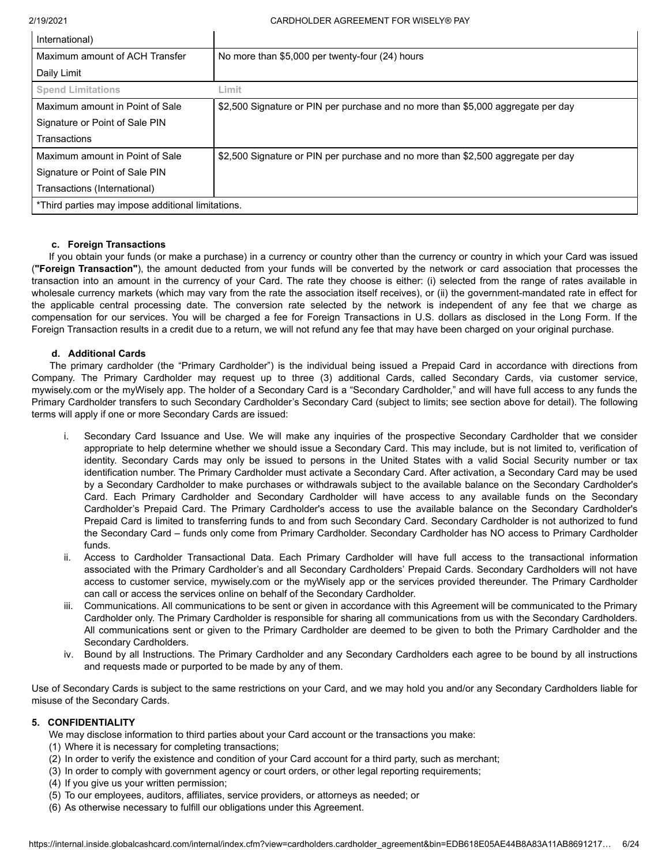| International)                                    |                                                                                  |
|---------------------------------------------------|----------------------------------------------------------------------------------|
| Maximum amount of ACH Transfer                    | No more than \$5,000 per twenty-four (24) hours                                  |
| Daily Limit                                       |                                                                                  |
| <b>Spend Limitations</b>                          | Limit                                                                            |
| Maximum amount in Point of Sale                   | \$2,500 Signature or PIN per purchase and no more than \$5,000 aggregate per day |
| Signature or Point of Sale PIN                    |                                                                                  |
| Transactions                                      |                                                                                  |
| Maximum amount in Point of Sale                   | \$2,500 Signature or PIN per purchase and no more than \$2,500 aggregate per day |
| Signature or Point of Sale PIN                    |                                                                                  |
| Transactions (International)                      |                                                                                  |
| *Third parties may impose additional limitations. |                                                                                  |

# **c. Foreign Transactions**

If you obtain your funds (or make a purchase) in a currency or country other than the currency or country in which your Card was issued (**"Foreign Transaction"**), the amount deducted from your funds will be converted by the network or card association that processes the transaction into an amount in the currency of your Card. The rate they choose is either: (i) selected from the range of rates available in wholesale currency markets (which may vary from the rate the association itself receives), or (ii) the government-mandated rate in effect for the applicable central processing date. The conversion rate selected by the network is independent of any fee that we charge as compensation for our services. You will be charged a fee for Foreign Transactions in U.S. dollars as disclosed in the Long Form. If the Foreign Transaction results in a credit due to a return, we will not refund any fee that may have been charged on your original purchase.

# **d. Additional Cards**

The primary cardholder (the "Primary Cardholder") is the individual being issued a Prepaid Card in accordance with directions from Company. The Primary Cardholder may request up to three (3) additional Cards, called Secondary Cards, via customer service, [mywisely.com](https://mywisely.com) or the myWisely app. The holder of a Secondary Card is a "Secondary Cardholder," and will have full access to any funds the Primary Cardholder transfers to such Secondary Cardholder's Secondary Card (subject to limits; see section above for detail). The following terms will apply if one or more Secondary Cards are issued:

- Secondary Card Issuance and Use. We will make any inquiries of the prospective Secondary Cardholder that we consider appropriate to help determine whether we should issue a Secondary Card. This may include, but is not limited to, verification of identity. Secondary Cards may only be issued to persons in the United States with a valid Social Security number or tax identification number. The Primary Cardholder must activate a Secondary Card. After activation, a Secondary Card may be used by a Secondary Cardholder to make purchases or withdrawals subject to the available balance on the Secondary Cardholder's Card. Each Primary Cardholder and Secondary Cardholder will have access to any available funds on the Secondary Cardholder's Prepaid Card. The Primary Cardholder's access to use the available balance on the Secondary Cardholder's Prepaid Card is limited to transferring funds to and from such Secondary Card. Secondary Cardholder is not authorized to fund the Secondary Card – funds only come from Primary Cardholder. Secondary Cardholder has NO access to Primary Cardholder funds.
- ii. Access to Cardholder Transactional Data. Each Primary Cardholder will have full access to the transactional information associated with the Primary Cardholder's and all Secondary Cardholders' Prepaid Cards. Secondary Cardholders will not have access to customer service, [mywisely.com](https://mywisely.com) or the myWisely app or the services provided thereunder. The Primary Cardholder can call or access the services online on behalf of the Secondary Cardholder.
- iii. Communications. All communications to be sent or given in accordance with this Agreement will be communicated to the Primary Cardholder only. The Primary Cardholder is responsible for sharing all communications from us with the Secondary Cardholders. All communications sent or given to the Primary Cardholder are deemed to be given to both the Primary Cardholder and the Secondary Cardholders.
- iv. Bound by all Instructions. The Primary Cardholder and any Secondary Cardholders each agree to be bound by all instructions and requests made or purported to be made by any of them.

Use of Secondary Cards is subject to the same restrictions on your Card, and we may hold you and/or any Secondary Cardholders liable for misuse of the Secondary Cards.

# **5. CONFIDENTIALITY**

- We may disclose information to third parties about your Card account or the transactions you make:
- (1) Where it is necessary for completing transactions;
- (2) In order to verify the existence and condition of your Card account for a third party, such as merchant;
- (3) In order to comply with government agency or court orders, or other legal reporting requirements;
- (4) If you give us your written permission;
- (5) To our employees, auditors, affiliates, service providers, or attorneys as needed; or
- (6) As otherwise necessary to fulfill our obligations under this Agreement.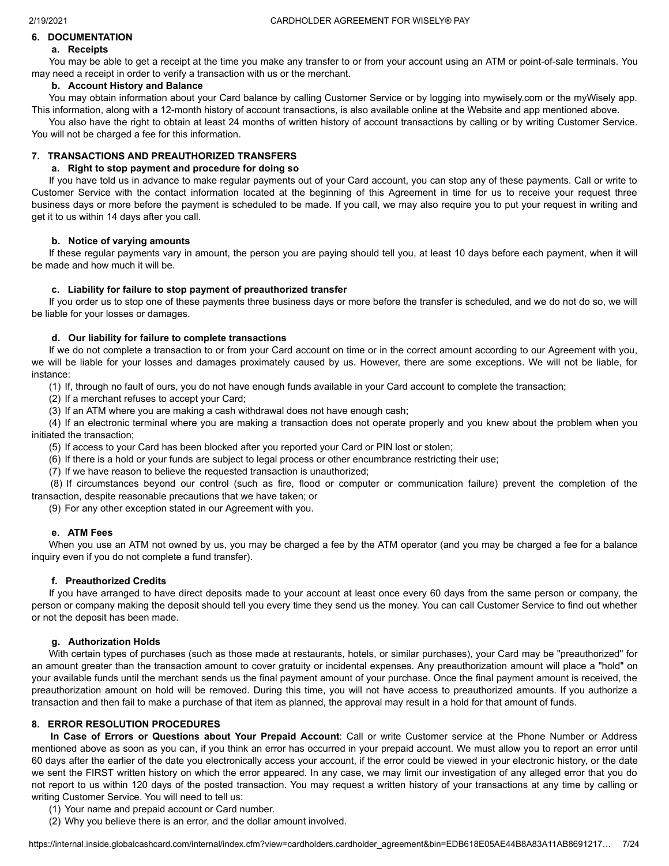#### **6. DOCUMENTATION a. Receipts**

# You may be able to get a receipt at the time you make any transfer to or from your account using an ATM or point-of-sale terminals. You may need a receipt in order to verify a transaction with us or the merchant.

# **b. Account History and Balance**

You may obtain information about your Card balance by calling Customer Service or by logging into [mywisely.com](https://mywisely.com) or the myWisely app. This information, along with a 12-month history of account transactions, is also available online at the Website and app mentioned above.

You also have the right to obtain at least 24 months of written history of account transactions by calling or by writing Customer Service. You will not be charged a fee for this information.

# **7. TRANSACTIONS AND PREAUTHORIZED TRANSFERS**

# **a. Right to stop payment and procedure for doing so**

 If you have told us in advance to make regular payments out of your Card account, you can stop any of these payments. Call or write to Customer Service with the contact information located at the beginning of this Agreement in time for us to receive your request three business days or more before the payment is scheduled to be made. If you call, we may also require you to put your request in writing and get it to us within 14 days after you call.

# **b. Notice of varying amounts**

If these regular payments vary in amount, the person you are paying should tell you, at least 10 days before each payment, when it will be made and how much it will be.

# **c. Liability for failure to stop payment of preauthorized transfer**

If you order us to stop one of these payments three business days or more before the transfer is scheduled, and we do not do so, we will be liable for your losses or damages.

# **d. Our liability for failure to complete transactions**

If we do not complete a transaction to or from your Card account on time or in the correct amount according to our Agreement with you, we will be liable for your losses and damages proximately caused by us. However, there are some exceptions. We will not be liable, for instance:

(1) If, through no fault of ours, you do not have enough funds available in your Card account to complete the transaction;

(2) If a merchant refuses to accept your Card;

(3) If an ATM where you are making a cash withdrawal does not have enough cash;

(4) If an electronic terminal where you are making a transaction does not operate properly and you knew about the problem when you initiated the transaction;

(5) If access to your Card has been blocked after you reported your Card or PIN lost or stolen;

- (6) If there is a hold or your funds are subject to legal process or other encumbrance restricting their use;
- (7) If we have reason to believe the requested transaction is unauthorized;

(8) If circumstances beyond our control (such as fire, flood or computer or communication failure) prevent the completion of the transaction, despite reasonable precautions that we have taken; or

(9) For any other exception stated in our Agreement with you.

# **e. ATM Fees**

When you use an ATM not owned by us, you may be charged a fee by the ATM operator (and you may be charged a fee for a balance inquiry even if you do not complete a fund transfer).

# **f. Preauthorized Credits**

If you have arranged to have direct deposits made to your account at least once every 60 days from the same person or company, the person or company making the deposit should tell you every time they send us the money. You can call Customer Service to find out whether or not the deposit has been made.

# **g. Authorization Holds**

With certain types of purchases (such as those made at restaurants, hotels, or similar purchases), your Card may be "preauthorized" for an amount greater than the transaction amount to cover gratuity or incidental expenses. Any preauthorization amount will place a "hold" on your available funds until the merchant sends us the final payment amount of your purchase. Once the final payment amount is received, the preauthorization amount on hold will be removed. During this time, you will not have access to preauthorized amounts. If you authorize a transaction and then fail to make a purchase of that item as planned, the approval may result in a hold for that amount of funds.

# **8. ERROR RESOLUTION PROCEDURES**

**In Case of Errors or Questions about Your Prepaid Account**: Call or write Customer service at the Phone Number or Address mentioned above as soon as you can, if you think an error has occurred in your prepaid account. We must allow you to report an error until 60 days after the earlier of the date you electronically access your account, if the error could be viewed in your electronic history, or the date we sent the FIRST written history on which the error appeared. In any case, we may limit our investigation of any alleged error that you do not report to us within 120 days of the posted transaction. You may request a written history of your transactions at any time by calling or writing Customer Service. You will need to tell us:

- (1) Your name and prepaid account or Card number.
- (2) Why you believe there is an error, and the dollar amount involved.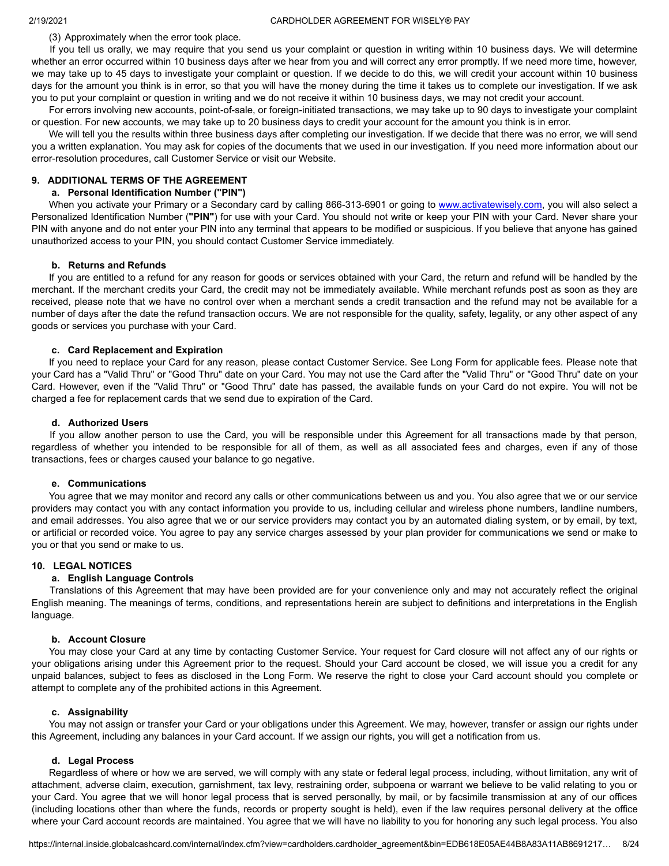(3) Approximately when the error took place.

If you tell us orally, we may require that you send us your complaint or question in writing within 10 business days. We will determine whether an error occurred within 10 business days after we hear from you and will correct any error promptly. If we need more time, however, we may take up to 45 days to investigate your complaint or question. If we decide to do this, we will credit your account within 10 business days for the amount you think is in error, so that you will have the money during the time it takes us to complete our investigation. If we ask you to put your complaint or question in writing and we do not receive it within 10 business days, we may not credit your account.

For errors involving new accounts, point-of-sale, or foreign-initiated transactions, we may take up to 90 days to investigate your complaint or question. For new accounts, we may take up to 20 business days to credit your account for the amount you think is in error.

We will tell you the results within three business days after completing our investigation. If we decide that there was no error, we will send you a written explanation. You may ask for copies of the documents that we used in our investigation. If you need more information about our error-resolution procedures, call Customer Service or visit our Website.

# **9. ADDITIONAL TERMS OF THE AGREEMENT**

# **a. Personal Identification Number ("PIN")**

When you activate your Primary or a Secondary card by calling 866-313-6901 or going to [www.activatewisely.com](http://www.activatewisely.com/), you will also select a Personalized Identification Number (**"PIN"**) for use with your Card. You should not write or keep your PIN with your Card. Never share your PIN with anyone and do not enter your PIN into any terminal that appears to be modified or suspicious. If you believe that anyone has gained unauthorized access to your PIN, you should contact Customer Service immediately.

#### **b. Returns and Refunds**

If you are entitled to a refund for any reason for goods or services obtained with your Card, the return and refund will be handled by the merchant. If the merchant credits your Card, the credit may not be immediately available. While merchant refunds post as soon as they are received, please note that we have no control over when a merchant sends a credit transaction and the refund may not be available for a number of days after the date the refund transaction occurs. We are not responsible for the quality, safety, legality, or any other aspect of any goods or services you purchase with your Card.

#### **c. Card Replacement and Expiration**

If you need to replace your Card for any reason, please contact Customer Service. See Long Form for applicable fees. Please note that your Card has a "Valid Thru" or "Good Thru" date on your Card. You may not use the Card after the "Valid Thru" or "Good Thru" date on your Card. However, even if the "Valid Thru" or "Good Thru" date has passed, the available funds on your Card do not expire. You will not be charged a fee for replacement cards that we send due to expiration of the Card.

#### **d. Authorized Users**

If you allow another person to use the Card, you will be responsible under this Agreement for all transactions made by that person, regardless of whether you intended to be responsible for all of them, as well as all associated fees and charges, even if any of those transactions, fees or charges caused your balance to go negative.

#### **e. Communications**

You agree that we may monitor and record any calls or other communications between us and you. You also agree that we or our service providers may contact you with any contact information you provide to us, including cellular and wireless phone numbers, landline numbers, and email addresses. You also agree that we or our service providers may contact you by an automated dialing system, or by email, by text, or artificial or recorded voice. You agree to pay any service charges assessed by your plan provider for communications we send or make to you or that you send or make to us.

#### **10. LEGAL NOTICES**

#### **a. English Language Controls**

Translations of this Agreement that may have been provided are for your convenience only and may not accurately reflect the original English meaning. The meanings of terms, conditions, and representations herein are subject to definitions and interpretations in the English language.

#### **b. Account Closure**

You may close your Card at any time by contacting Customer Service. Your request for Card closure will not affect any of our rights or your obligations arising under this Agreement prior to the request. Should your Card account be closed, we will issue you a credit for any unpaid balances, subject to fees as disclosed in the Long Form. We reserve the right to close your Card account should you complete or attempt to complete any of the prohibited actions in this Agreement.

#### **c. Assignability**

You may not assign or transfer your Card or your obligations under this Agreement. We may, however, transfer or assign our rights under this Agreement, including any balances in your Card account. If we assign our rights, you will get a notification from us.

#### **d. Legal Process**

Regardless of where or how we are served, we will comply with any state or federal legal process, including, without limitation, any writ of attachment, adverse claim, execution, garnishment, tax levy, restraining order, subpoena or warrant we believe to be valid relating to you or your Card. You agree that we will honor legal process that is served personally, by mail, or by facsimile transmission at any of our offices (including locations other than where the funds, records or property sought is held), even if the law requires personal delivery at the office where your Card account records are maintained. You agree that we will have no liability to you for honoring any such legal process. You also

[https://internal.inside.globalcashcard.com/internal/index.cfm?view=cardholders.cardholder\\_agreement&bin=EDB618E05AE44B8A83A11AB8691217](https://internal.inside.globalcashcard.com/internal/index.cfm?view=cardholders.cardholder_agreement&bin=EDB618E05AE44B8A83A11AB8691217)… 8/24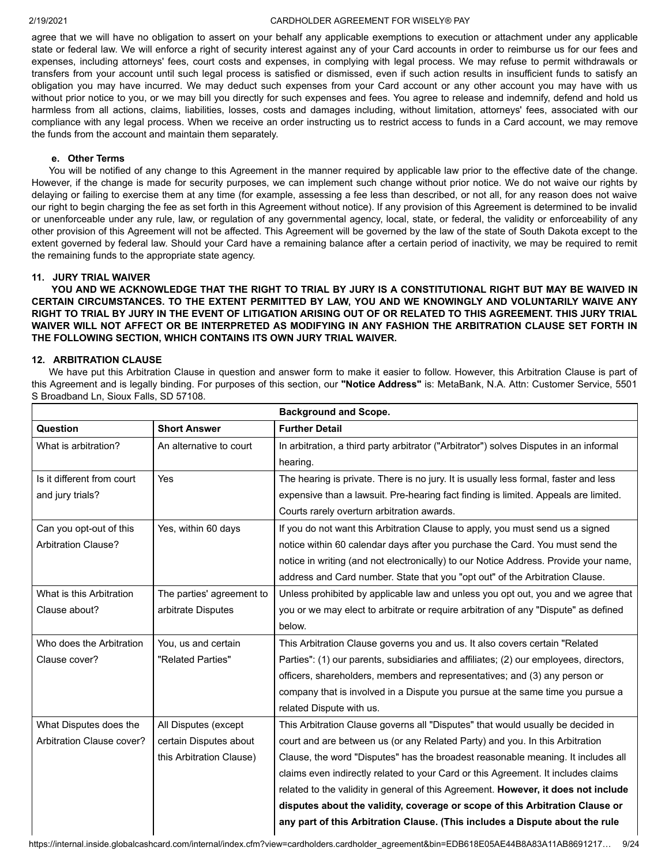agree that we will have no obligation to assert on your behalf any applicable exemptions to execution or attachment under any applicable state or federal law. We will enforce a right of security interest against any of your Card accounts in order to reimburse us for our fees and expenses, including attorneys' fees, court costs and expenses, in complying with legal process. We may refuse to permit withdrawals or transfers from your account until such legal process is satisfied or dismissed, even if such action results in insufficient funds to satisfy an obligation you may have incurred. We may deduct such expenses from your Card account or any other account you may have with us without prior notice to you, or we may bill you directly for such expenses and fees. You agree to release and indemnify, defend and hold us harmless from all actions, claims, liabilities, losses, costs and damages including, without limitation, attorneys' fees, associated with our compliance with any legal process. When we receive an order instructing us to restrict access to funds in a Card account, we may remove the funds from the account and maintain them separately.

#### **e. Other Terms**

You will be notified of any change to this Agreement in the manner required by applicable law prior to the effective date of the change. However, if the change is made for security purposes, we can implement such change without prior notice. We do not waive our rights by delaying or failing to exercise them at any time (for example, assessing a fee less than described, or not all, for any reason does not waive our right to begin charging the fee as set forth in this Agreement without notice). If any provision of this Agreement is determined to be invalid or unenforceable under any rule, law, or regulation of any governmental agency, local, state, or federal, the validity or enforceability of any other provision of this Agreement will not be affected. This Agreement will be governed by the law of the state of South Dakota except to the extent governed by federal law. Should your Card have a remaining balance after a certain period of inactivity, we may be required to remit the remaining funds to the appropriate state agency.

#### **11. JURY TRIAL WAIVER**

**YOU AND WE ACKNOWLEDGE THAT THE RIGHT TO TRIAL BY JURY IS A CONSTITUTIONAL RIGHT BUT MAY BE WAIVED IN CERTAIN CIRCUMSTANCES. TO THE EXTENT PERMITTED BY LAW, YOU AND WE KNOWINGLY AND VOLUNTARILY WAIVE ANY RIGHT TO TRIAL BY JURY IN THE EVENT OF LITIGATION ARISING OUT OF OR RELATED TO THIS AGREEMENT. THIS JURY TRIAL WAIVER WILL NOT AFFECT OR BE INTERPRETED AS MODIFYING IN ANY FASHION THE ARBITRATION CLAUSE SET FORTH IN THE FOLLOWING SECTION, WHICH CONTAINS ITS OWN JURY TRIAL WAIVER.**

#### **12. ARBITRATION CLAUSE**

We have put this Arbitration Clause in question and answer form to make it easier to follow. However, this Arbitration Clause is part of this Agreement and is legally binding. For purposes of this section, our **"Notice Address"** is: MetaBank, N.A. Attn: Customer Service, 5501 S Broadband Ln, Sioux Falls, SD 57108.

|                            |                           | <b>Background and Scope.</b>                                                           |
|----------------------------|---------------------------|----------------------------------------------------------------------------------------|
| Question                   | <b>Short Answer</b>       | <b>Further Detail</b>                                                                  |
| What is arbitration?       | An alternative to court   | In arbitration, a third party arbitrator ("Arbitrator") solves Disputes in an informal |
|                            |                           | hearing.                                                                               |
| Is it different from court | Yes                       | The hearing is private. There is no jury. It is usually less formal, faster and less   |
| and jury trials?           |                           | expensive than a lawsuit. Pre-hearing fact finding is limited. Appeals are limited.    |
|                            |                           | Courts rarely overturn arbitration awards.                                             |
| Can you opt-out of this    | Yes, within 60 days       | If you do not want this Arbitration Clause to apply, you must send us a signed         |
| <b>Arbitration Clause?</b> |                           | notice within 60 calendar days after you purchase the Card. You must send the          |
|                            |                           | notice in writing (and not electronically) to our Notice Address. Provide your name,   |
|                            |                           | address and Card number. State that you "opt out" of the Arbitration Clause.           |
| What is this Arbitration   | The parties' agreement to | Unless prohibited by applicable law and unless you opt out, you and we agree that      |
| Clause about?              | arbitrate Disputes        | you or we may elect to arbitrate or require arbitration of any "Dispute" as defined    |
|                            |                           | below.                                                                                 |
| Who does the Arbitration   | You, us and certain       | This Arbitration Clause governs you and us. It also covers certain "Related            |
| Clause cover?              | "Related Parties"         | Parties": (1) our parents, subsidiaries and affiliates; (2) our employees, directors,  |
|                            |                           | officers, shareholders, members and representatives; and (3) any person or             |
|                            |                           | company that is involved in a Dispute you pursue at the same time you pursue a         |
|                            |                           | related Dispute with us.                                                               |
| What Disputes does the     | All Disputes (except      | This Arbitration Clause governs all "Disputes" that would usually be decided in        |
| Arbitration Clause cover?  | certain Disputes about    | court and are between us (or any Related Party) and you. In this Arbitration           |
|                            | this Arbitration Clause)  | Clause, the word "Disputes" has the broadest reasonable meaning. It includes all       |
|                            |                           | claims even indirectly related to your Card or this Agreement. It includes claims      |
|                            |                           | related to the validity in general of this Agreement. However, it does not include     |
|                            |                           | disputes about the validity, coverage or scope of this Arbitration Clause or           |
|                            |                           | any part of this Arbitration Clause. (This includes a Dispute about the rule           |

[https://internal.inside.globalcashcard.com/internal/index.cfm?view=cardholders.cardholder\\_agreement&bin=EDB618E05AE44B8A83A11AB8691217](https://internal.inside.globalcashcard.com/internal/index.cfm?view=cardholders.cardholder_agreement&bin=EDB618E05AE44B8A83A11AB8691217)… 9/24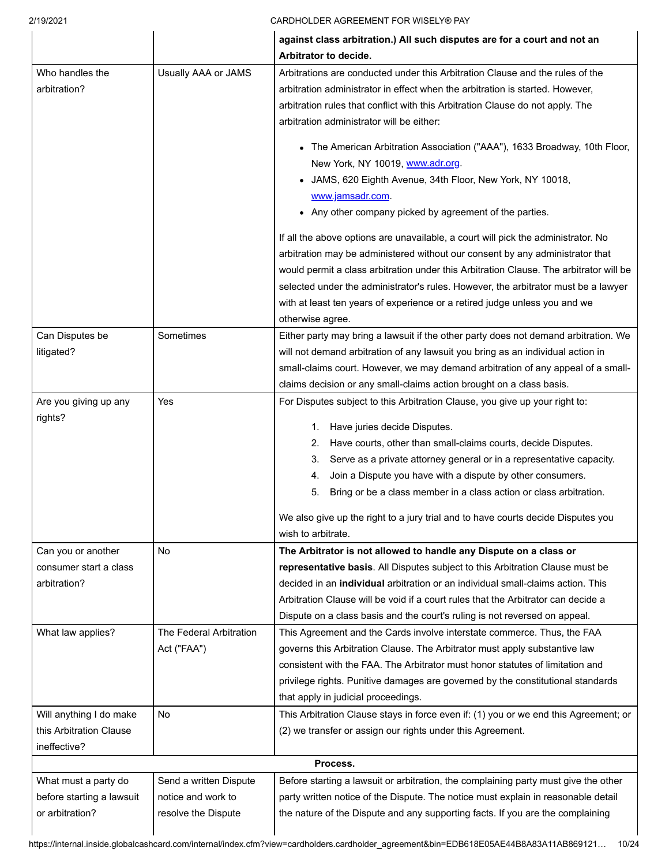|                                  |                         | against class arbitration.) All such disputes are for a court and not an<br>Arbitrator to decide.      |  |
|----------------------------------|-------------------------|--------------------------------------------------------------------------------------------------------|--|
| Who handles the                  | Usually AAA or JAMS     | Arbitrations are conducted under this Arbitration Clause and the rules of the                          |  |
| arbitration?                     |                         | arbitration administrator in effect when the arbitration is started. However,                          |  |
|                                  |                         | arbitration rules that conflict with this Arbitration Clause do not apply. The                         |  |
|                                  |                         | arbitration administrator will be either:                                                              |  |
|                                  |                         | • The American Arbitration Association ("AAA"), 1633 Broadway, 10th Floor,                             |  |
|                                  |                         | New York, NY 10019, www.adr.org.                                                                       |  |
|                                  |                         | JAMS, 620 Eighth Avenue, 34th Floor, New York, NY 10018,                                               |  |
|                                  |                         | www.jamsadr.com.                                                                                       |  |
|                                  |                         | Any other company picked by agreement of the parties.                                                  |  |
|                                  |                         | If all the above options are unavailable, a court will pick the administrator. No                      |  |
|                                  |                         | arbitration may be administered without our consent by any administrator that                          |  |
|                                  |                         | would permit a class arbitration under this Arbitration Clause. The arbitrator will be                 |  |
|                                  |                         | selected under the administrator's rules. However, the arbitrator must be a lawyer                     |  |
|                                  |                         | with at least ten years of experience or a retired judge unless you and we                             |  |
|                                  |                         | otherwise agree.                                                                                       |  |
| Can Disputes be                  | Sometimes               | Either party may bring a lawsuit if the other party does not demand arbitration. We                    |  |
| litigated?                       |                         | will not demand arbitration of any lawsuit you bring as an individual action in                        |  |
|                                  |                         | small-claims court. However, we may demand arbitration of any appeal of a small-                       |  |
|                                  |                         | claims decision or any small-claims action brought on a class basis.                                   |  |
| Are you giving up any<br>rights? | Yes                     | For Disputes subject to this Arbitration Clause, you give up your right to:                            |  |
|                                  |                         | Have juries decide Disputes.<br>1.                                                                     |  |
|                                  |                         | Have courts, other than small-claims courts, decide Disputes.<br>2.                                    |  |
|                                  |                         | 3.<br>Serve as a private attorney general or in a representative capacity.                             |  |
|                                  |                         | Join a Dispute you have with a dispute by other consumers.<br>4.                                       |  |
|                                  |                         | Bring or be a class member in a class action or class arbitration.<br>5.                               |  |
|                                  |                         | We also give up the right to a jury trial and to have courts decide Disputes you<br>wish to arbitrate. |  |
| Can you or another               | <b>No</b>               | The Arbitrator is not allowed to handle any Dispute on a class or                                      |  |
| consumer start a class           |                         | representative basis. All Disputes subject to this Arbitration Clause must be                          |  |
| arbitration?                     |                         | decided in an <b>individual</b> arbitration or an individual small-claims action. This                 |  |
|                                  |                         | Arbitration Clause will be void if a court rules that the Arbitrator can decide a                      |  |
|                                  |                         | Dispute on a class basis and the court's ruling is not reversed on appeal.                             |  |
| What law applies?                | The Federal Arbitration | This Agreement and the Cards involve interstate commerce. Thus, the FAA                                |  |
|                                  | Act ("FAA")             | governs this Arbitration Clause. The Arbitrator must apply substantive law                             |  |
|                                  |                         | consistent with the FAA. The Arbitrator must honor statutes of limitation and                          |  |
|                                  |                         | privilege rights. Punitive damages are governed by the constitutional standards                        |  |
|                                  |                         | that apply in judicial proceedings.                                                                    |  |
| Will anything I do make          | No                      | This Arbitration Clause stays in force even if: (1) you or we end this Agreement; or                   |  |
| this Arbitration Clause          |                         | (2) we transfer or assign our rights under this Agreement.                                             |  |
| ineffective?                     |                         |                                                                                                        |  |
|                                  |                         | Process.                                                                                               |  |
| What must a party do             | Send a written Dispute  | Before starting a lawsuit or arbitration, the complaining party must give the other                    |  |
| before starting a lawsuit        |                         |                                                                                                        |  |
|                                  | notice and work to      | party written notice of the Dispute. The notice must explain in reasonable detail                      |  |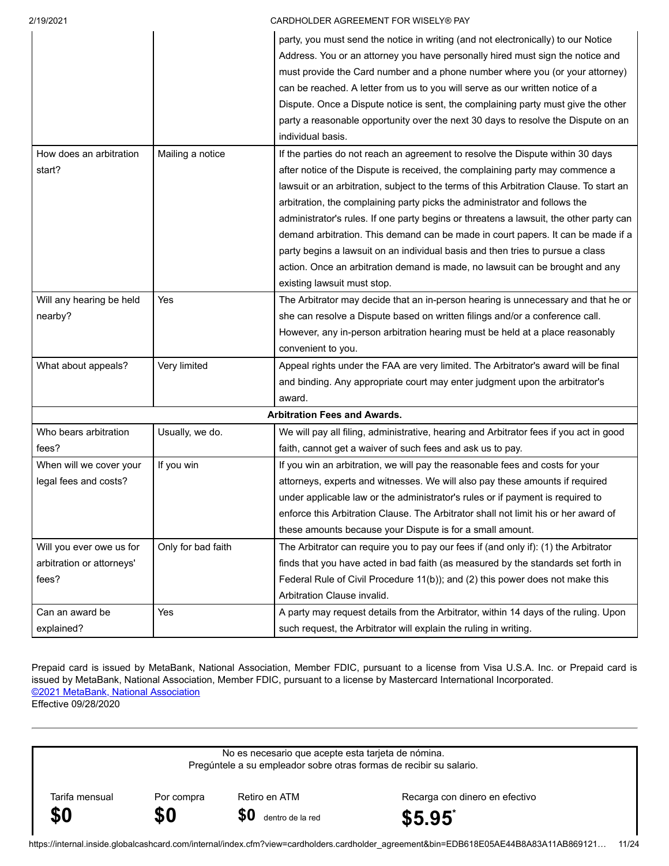|                           |                    | party, you must send the notice in writing (and not electronically) to our Notice       |
|---------------------------|--------------------|-----------------------------------------------------------------------------------------|
|                           |                    | Address. You or an attorney you have personally hired must sign the notice and          |
|                           |                    | must provide the Card number and a phone number where you (or your attorney)            |
|                           |                    | can be reached. A letter from us to you will serve as our written notice of a           |
|                           |                    | Dispute. Once a Dispute notice is sent, the complaining party must give the other       |
|                           |                    | party a reasonable opportunity over the next 30 days to resolve the Dispute on an       |
|                           |                    | individual basis.                                                                       |
| How does an arbitration   | Mailing a notice   | If the parties do not reach an agreement to resolve the Dispute within 30 days          |
| start?                    |                    | after notice of the Dispute is received, the complaining party may commence a           |
|                           |                    | lawsuit or an arbitration, subject to the terms of this Arbitration Clause. To start an |
|                           |                    | arbitration, the complaining party picks the administrator and follows the              |
|                           |                    | administrator's rules. If one party begins or threatens a lawsuit, the other party can  |
|                           |                    | demand arbitration. This demand can be made in court papers. It can be made if a        |
|                           |                    | party begins a lawsuit on an individual basis and then tries to pursue a class          |
|                           |                    | action. Once an arbitration demand is made, no lawsuit can be brought and any           |
|                           |                    | existing lawsuit must stop.                                                             |
| Will any hearing be held  | Yes                | The Arbitrator may decide that an in-person hearing is unnecessary and that he or       |
| nearby?                   |                    | she can resolve a Dispute based on written filings and/or a conference call.            |
|                           |                    | However, any in-person arbitration hearing must be held at a place reasonably           |
|                           |                    | convenient to you.                                                                      |
| What about appeals?       | Very limited       | Appeal rights under the FAA are very limited. The Arbitrator's award will be final      |
|                           |                    | and binding. Any appropriate court may enter judgment upon the arbitrator's             |
|                           |                    | award.                                                                                  |
|                           |                    | <b>Arbitration Fees and Awards.</b>                                                     |
| Who bears arbitration     | Usually, we do.    | We will pay all filing, administrative, hearing and Arbitrator fees if you act in good  |
| fees?                     |                    | faith, cannot get a waiver of such fees and ask us to pay.                              |
| When will we cover your   | If you win         | If you win an arbitration, we will pay the reasonable fees and costs for your           |
| legal fees and costs?     |                    | attorneys, experts and witnesses. We will also pay these amounts if required            |
|                           |                    | under applicable law or the administrator's rules or if payment is required to          |
|                           |                    | enforce this Arbitration Clause. The Arbitrator shall not limit his or her award of     |
|                           |                    | these amounts because your Dispute is for a small amount.                               |
| Will you ever owe us for  | Only for bad faith | The Arbitrator can require you to pay our fees if (and only if): (1) the Arbitrator     |
| arbitration or attorneys' |                    | finds that you have acted in bad faith (as measured by the standards set forth in       |
| fees?                     |                    | Federal Rule of Civil Procedure 11(b)); and (2) this power does not make this           |
|                           |                    | Arbitration Clause invalid.                                                             |
| Can an award be           | Yes                | A party may request details from the Arbitrator, within 14 days of the ruling. Upon     |
| explained?                |                    | such request, the Arbitrator will explain the ruling in writing.                        |

Prepaid card is issued by MetaBank, National Association, Member FDIC, pursuant to a license from Visa U.S.A. Inc. or Prepaid card is issued by MetaBank, National Association, Member FDIC, pursuant to a license by Mastercard International Incorporated. ©2021 MetaBank, National Association

Effective 09/28/2020

No es necesario que acepte esta tarjeta de nómina. Pregúntele a su empleador sobre otras formas de recibir su salario. Tarifa mensual Por compra Retiro en ATM Recarga con dinero en efectivo **\$0 \$0 \$0** dentro de la red **\$5.95\***

[https://internal.inside.globalcashcard.com/internal/index.cfm?view=cardholders.cardholder\\_agreement&bin=EDB618E05AE44B8A83A11AB869121](https://internal.inside.globalcashcard.com/internal/index.cfm?view=cardholders.cardholder_agreement&bin=EDB618E05AE44B8A83A11AB869121)… 11/24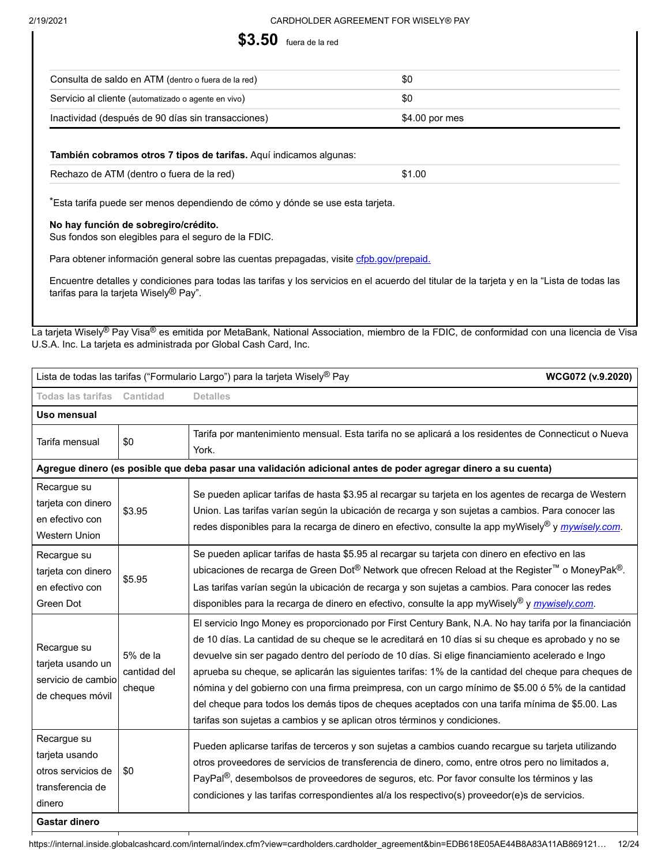

| Consulta de saldo en ATM (dentro o fuera de la red) | \$0             |
|-----------------------------------------------------|-----------------|
| Servicio al cliente (automatizado o agente en vivo) | -\$0            |
| Inactividad (después de 90 días sin transacciones)  | $$4.00$ por mes |

#### **También cobramos otros 7 tipos de tarifas.** Aquí indicamos algunas:

| Rechazo de ATM (dentro o fuera de la red) | \$1.00 |
|-------------------------------------------|--------|
|                                           |        |

\*Esta tarifa puede ser menos dependiendo de cómo y dónde se use esta tarjeta.

#### **No hay función de sobregiro/crédito.**

Sus fondos son elegibles para el seguro de la FDIC.

Para obtener información general sobre las cuentas prepagadas, visite [cfpb.gov/prepaid.](http://cfpb.gov/prepaid)

Encuentre detalles y condiciones para todas las tarifas y los servicios en el acuerdo del titular de la tarjeta y en la "Lista de todas las tarifas para la tarjeta Wisely® Pay".

La tarjeta Wisely® Pay Visa® es emitida por MetaBank, National Association, miembro de la FDIC, de conformidad con una licencia de Visa U.S.A. Inc. La tarjeta es administrada por Global Cash Card, Inc.

| Lista de todas las tarifas ("Formulario Largo") para la tarjeta Wisely <sup>®</sup> Pay<br>WCG072 (v.9.2020) |                                    |                                                                                                                                                                                                                                                                                                                                                                                                                                                                                                                                                                                                                                                                                                            |  |
|--------------------------------------------------------------------------------------------------------------|------------------------------------|------------------------------------------------------------------------------------------------------------------------------------------------------------------------------------------------------------------------------------------------------------------------------------------------------------------------------------------------------------------------------------------------------------------------------------------------------------------------------------------------------------------------------------------------------------------------------------------------------------------------------------------------------------------------------------------------------------|--|
| Todas las tarifas Cantidad<br><b>Detalles</b>                                                                |                                    |                                                                                                                                                                                                                                                                                                                                                                                                                                                                                                                                                                                                                                                                                                            |  |
| Uso mensual                                                                                                  |                                    |                                                                                                                                                                                                                                                                                                                                                                                                                                                                                                                                                                                                                                                                                                            |  |
| Tarifa mensual                                                                                               | \$0                                | Tarifa por mantenimiento mensual. Esta tarifa no se aplicará a los residentes de Connecticut o Nueva<br>York.                                                                                                                                                                                                                                                                                                                                                                                                                                                                                                                                                                                              |  |
|                                                                                                              |                                    | Agregue dinero (es posible que deba pasar una validación adicional antes de poder agregar dinero a su cuenta)                                                                                                                                                                                                                                                                                                                                                                                                                                                                                                                                                                                              |  |
| Recargue su<br>tarjeta con dinero<br>en efectivo con<br>Western Union                                        | \$3.95                             | Se pueden aplicar tarifas de hasta \$3.95 al recargar su tarjeta en los agentes de recarga de Western<br>Union. Las tarifas varían según la ubicación de recarga y son sujetas a cambios. Para conocer las<br>redes disponibles para la recarga de dinero en efectivo, consulte la app myWisely® y <i>mywisely.com</i> .                                                                                                                                                                                                                                                                                                                                                                                   |  |
| Recargue su<br>tarjeta con dinero<br>en efectivo con<br>Green Dot                                            | \$5.95                             | Se pueden aplicar tarifas de hasta \$5.95 al recargar su tarjeta con dinero en efectivo en las<br>ubicaciones de recarga de Green Dot® Network que ofrecen Reload at the Register™ o MoneyPak®.<br>Las tarifas varían según la ubicación de recarga y son sujetas a cambios. Para conocer las redes<br>disponibles para la recarga de dinero en efectivo, consulte la app myWisely® y mywisely com.                                                                                                                                                                                                                                                                                                        |  |
| Recargue su<br>tarjeta usando un<br>servicio de cambio<br>de cheques móvil                                   | 5% de la<br>cantidad del<br>cheque | El servicio Ingo Money es proporcionado por First Century Bank, N.A. No hay tarifa por la financiación<br>de 10 días. La cantidad de su cheque se le acreditará en 10 días si su cheque es aprobado y no se<br>devuelve sin ser pagado dentro del período de 10 días. Si elige financiamiento acelerado e Ingo<br>aprueba su cheque, se aplicarán las siguientes tarifas: 1% de la cantidad del cheque para cheques de<br>nómina y del gobierno con una firma preimpresa, con un cargo mínimo de \$5.00 ó 5% de la cantidad<br>del cheque para todos los demás tipos de cheques aceptados con una tarifa mínima de \$5.00. Las<br>tarifas son sujetas a cambios y se aplican otros términos y condiciones. |  |
| Recargue su<br>tarjeta usando<br>otros servicios de<br>transferencia de<br>dinero<br><b>Gastar dinero</b>    | \$0                                | Pueden aplicarse tarifas de terceros y son sujetas a cambios cuando recargue su tarjeta utilizando<br>otros proveedores de servicios de transferencia de dinero, como, entre otros pero no limitados a,<br>PayPal <sup>®</sup> , desembolsos de proveedores de seguros, etc. Por favor consulte los términos y las<br>condiciones y las tarifas correspondientes al/a los respectivo(s) proveedor(e)s de servicios.                                                                                                                                                                                                                                                                                        |  |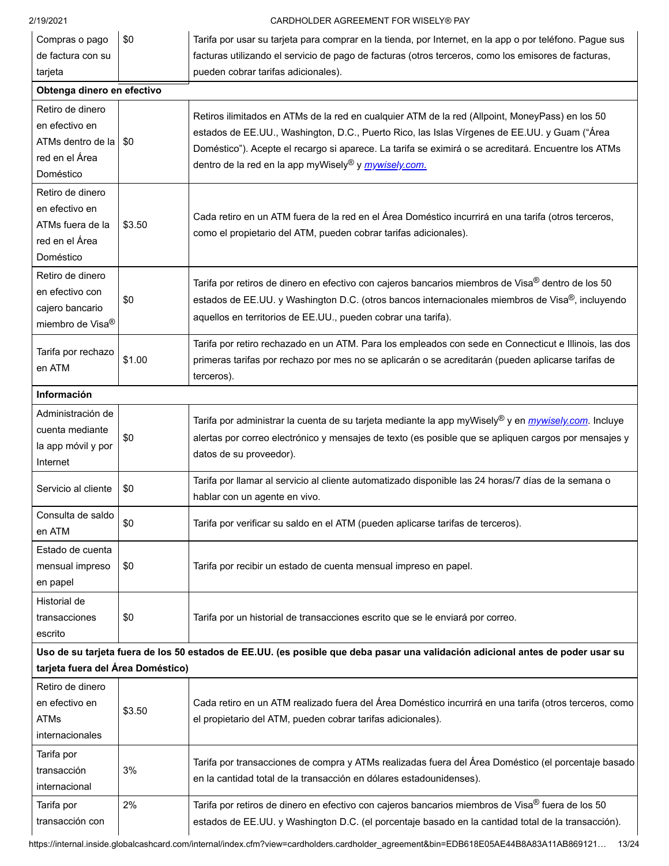| 2/19/2021                                                                              |                                                                                                                                                                                                                                                       | CARDHOLDER AGREEMENT FOR WISELY® PAY                                                                                                                                                                                                                                                                                                                                              |  |
|----------------------------------------------------------------------------------------|-------------------------------------------------------------------------------------------------------------------------------------------------------------------------------------------------------------------------------------------------------|-----------------------------------------------------------------------------------------------------------------------------------------------------------------------------------------------------------------------------------------------------------------------------------------------------------------------------------------------------------------------------------|--|
| Compras o pago<br>de factura con su                                                    | \$0                                                                                                                                                                                                                                                   | Tarifa por usar su tarjeta para comprar en la tienda, por Internet, en la app o por teléfono. Pague sus<br>facturas utilizando el servicio de pago de facturas (otros terceros, como los emisores de facturas,                                                                                                                                                                    |  |
| tarjeta                                                                                |                                                                                                                                                                                                                                                       | pueden cobrar tarifas adicionales).                                                                                                                                                                                                                                                                                                                                               |  |
| Obtenga dinero en efectivo                                                             |                                                                                                                                                                                                                                                       |                                                                                                                                                                                                                                                                                                                                                                                   |  |
| Retiro de dinero<br>en efectivo en<br>ATMs dentro de la<br>red en el Área<br>Doméstico | \$0                                                                                                                                                                                                                                                   | Retiros ilimitados en ATMs de la red en cualquier ATM de la red (Allpoint, MoneyPass) en los 50<br>estados de EE.UU., Washington, D.C., Puerto Rico, las Islas Vírgenes de EE.UU. y Guam ("Área<br>Doméstico"). Acepte el recargo si aparece. La tarifa se eximirá o se acreditará. Encuentre los ATMs<br>dentro de la red en la app myWisely <sup>®</sup> y <i>mywisely.com.</i> |  |
| Retiro de dinero<br>en efectivo en<br>ATMs fuera de la<br>red en el Área<br>Doméstico  | \$3.50                                                                                                                                                                                                                                                | Cada retiro en un ATM fuera de la red en el Área Doméstico incurrirá en una tarifa (otros terceros,<br>como el propietario del ATM, pueden cobrar tarifas adicionales).                                                                                                                                                                                                           |  |
| Retiro de dinero<br>en efectivo con<br>cajero bancario<br>miembro de Visa <sup>®</sup> | \$0                                                                                                                                                                                                                                                   | Tarifa por retiros de dinero en efectivo con cajeros bancarios miembros de Visa <sup>®</sup> dentro de los 50<br>estados de EE.UU. y Washington D.C. (otros bancos internacionales miembros de Visa®, incluyendo<br>aquellos en territorios de EE.UU., pueden cobrar una tarifa).                                                                                                 |  |
| Tarifa por rechazo<br>en ATM                                                           | \$1.00                                                                                                                                                                                                                                                | Tarifa por retiro rechazado en un ATM. Para los empleados con sede en Connecticut e Illinois, las dos<br>primeras tarifas por rechazo por mes no se aplicarán o se acreditarán (pueden aplicarse tarifas de<br>terceros).                                                                                                                                                         |  |
| Información                                                                            |                                                                                                                                                                                                                                                       |                                                                                                                                                                                                                                                                                                                                                                                   |  |
| Administración de<br>cuenta mediante<br>la app móvil y por<br>Internet                 | Tarifa por administrar la cuenta de su tarjeta mediante la app myWisely® y en <i>mywisely.com</i> . Incluye<br>alertas por correo electrónico y mensajes de texto (es posible que se apliquen cargos por mensajes y<br>\$0<br>datos de su proveedor). |                                                                                                                                                                                                                                                                                                                                                                                   |  |
| Servicio al cliente<br>\$0<br>hablar con un agente en vivo.                            |                                                                                                                                                                                                                                                       | Tarifa por llamar al servicio al cliente automatizado disponible las 24 horas/7 días de la semana o                                                                                                                                                                                                                                                                               |  |
| Consulta de saldo<br>en ATM                                                            | \$0                                                                                                                                                                                                                                                   | Tarifa por verificar su saldo en el ATM (pueden aplicarse tarifas de terceros).                                                                                                                                                                                                                                                                                                   |  |
| Estado de cuenta<br>mensual impreso<br>en papel                                        | \$0                                                                                                                                                                                                                                                   | Tarifa por recibir un estado de cuenta mensual impreso en papel.                                                                                                                                                                                                                                                                                                                  |  |
| Historial de<br>transacciones<br>escrito                                               | \$0                                                                                                                                                                                                                                                   | Tarifa por un historial de transacciones escrito que se le enviará por correo.                                                                                                                                                                                                                                                                                                    |  |
|                                                                                        |                                                                                                                                                                                                                                                       | Uso de su tarjeta fuera de los 50 estados de EE.UU. (es posible que deba pasar una validación adicional antes de poder usar su                                                                                                                                                                                                                                                    |  |
| tarjeta fuera del Área Doméstico)                                                      |                                                                                                                                                                                                                                                       |                                                                                                                                                                                                                                                                                                                                                                                   |  |
| Retiro de dinero<br>en efectivo en<br>ATMs<br>internacionales                          | \$3.50                                                                                                                                                                                                                                                | Cada retiro en un ATM realizado fuera del Área Doméstico incurrirá en una tarifa (otros terceros, como<br>el propietario del ATM, pueden cobrar tarifas adicionales).                                                                                                                                                                                                             |  |
| Tarifa por<br>transacción<br>internacional                                             | 3%                                                                                                                                                                                                                                                    | Tarifa por transacciones de compra y ATMs realizadas fuera del Área Doméstico (el porcentaje basado<br>en la cantidad total de la transacción en dólares estadounidenses).                                                                                                                                                                                                        |  |
| 2%<br>Tarifa por<br>transacción con                                                    |                                                                                                                                                                                                                                                       | Tarifa por retiros de dinero en efectivo con cajeros bancarios miembros de Visa® fuera de los 50<br>estados de EE.UU. y Washington D.C. (el porcentaje basado en la cantidad total de la transacción).                                                                                                                                                                            |  |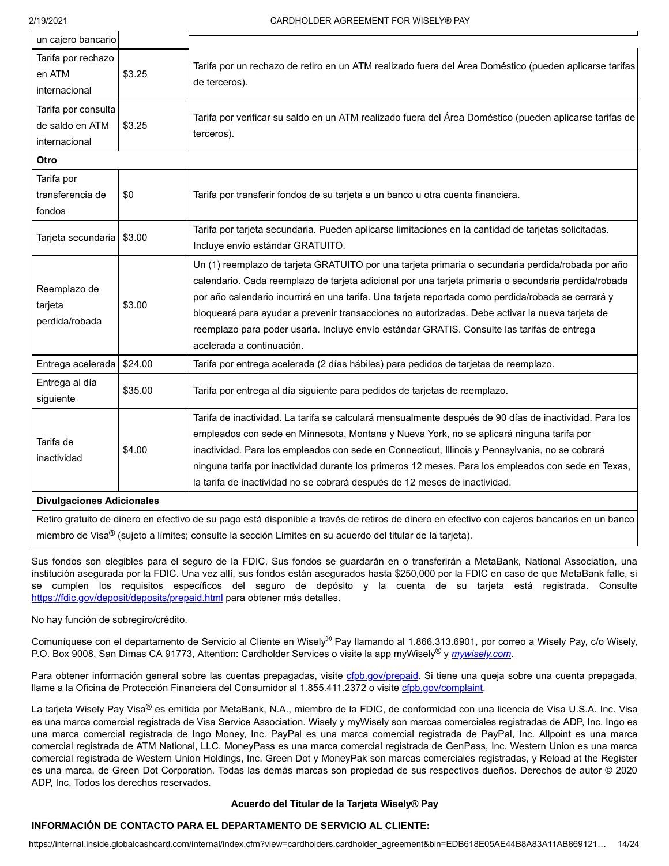$\mathbf{L}$ 

 $\mathbf{r}$ 

 $\mathbf{I}$ 

| un cajero bancario                         |         |                                                                                                                       |  |
|--------------------------------------------|---------|-----------------------------------------------------------------------------------------------------------------------|--|
| Tarifa por rechazo                         |         |                                                                                                                       |  |
| en ATM                                     | \$3.25  | Tarifa por un rechazo de retiro en un ATM realizado fuera del Área Doméstico (pueden aplicarse tarifas                |  |
| internacional                              |         | de terceros).                                                                                                         |  |
| Tarifa por consulta                        |         |                                                                                                                       |  |
| \$3.25<br>de saldo en ATM<br>internacional |         | Tarifa por verificar su saldo en un ATM realizado fuera del Área Doméstico (pueden aplicarse tarifas de<br>terceros). |  |
|                                            |         |                                                                                                                       |  |
| Tarifa por                                 |         |                                                                                                                       |  |
| transferencia de                           | \$0     | Tarifa por transferir fondos de su tarjeta a un banco u otra cuenta financiera.                                       |  |
| fondos                                     |         |                                                                                                                       |  |
| Tarjeta secundaria                         | \$3.00  | Tarifa por tarjeta secundaria. Pueden aplicarse limitaciones en la cantidad de tarjetas solicitadas.                  |  |
|                                            |         | Incluye envío estándar GRATUITO.                                                                                      |  |
|                                            | \$3.00  | Un (1) reemplazo de tarjeta GRATUITO por una tarjeta primaria o secundaria perdida/robada por año                     |  |
| Reemplazo de                               |         | calendario. Cada reemplazo de tarjeta adicional por una tarjeta primaria o secundaria perdida/robada                  |  |
| tarjeta                                    |         | por año calendario incurrirá en una tarifa. Una tarjeta reportada como perdida/robada se cerrará y                    |  |
| perdida/robada                             |         | bloqueará para ayudar a prevenir transacciones no autorizadas. Debe activar la nueva tarjeta de                       |  |
|                                            |         | reemplazo para poder usarla. Incluye envío estándar GRATIS. Consulte las tarifas de entrega                           |  |
|                                            |         | acelerada a continuación.                                                                                             |  |
| Entrega acelerada                          | \$24.00 | Tarifa por entrega acelerada (2 días hábiles) para pedidos de tarjetas de reemplazo.                                  |  |
| Entrega al día                             | \$35.00 | Tarifa por entrega al día siguiente para pedidos de tarjetas de reemplazo.                                            |  |
| siguiente                                  |         |                                                                                                                       |  |
|                                            |         | Tarifa de inactividad. La tarifa se calculará mensualmente después de 90 días de inactividad. Para los                |  |
| Tarifa de                                  |         | empleados con sede en Minnesota, Montana y Nueva York, no se aplicará ninguna tarifa por                              |  |
| inactividad                                | \$4.00  | inactividad. Para los empleados con sede en Connecticut, Illinois y Pennsylvania, no se cobrará                       |  |
|                                            |         | ninguna tarifa por inactividad durante los primeros 12 meses. Para los empleados con sede en Texas,                   |  |
|                                            |         | la tarifa de inactividad no se cobrará después de 12 meses de inactividad.                                            |  |
| <b>Divulgaciones Adicionales</b>           |         |                                                                                                                       |  |
|                                            |         |                                                                                                                       |  |

Retiro gratuito de dinero en efectivo de su pago está disponible a través de retiros de dinero en efectivo con cajeros bancarios en un banco miembro de Visa® (sujeto a límites; consulte la sección Límites en su acuerdo del titular de la tarjeta).

Sus fondos son elegibles para el seguro de la FDIC. Sus fondos se guardarán en o transferirán a MetaBank, National Association, una institución asegurada por la FDIC. Una vez allí, sus fondos están asegurados hasta \$250,000 por la FDIC en caso de que MetaBank falle, si se cumplen los requisitos específicos del seguro de depósito y la cuenta de su tarjeta está registrada. Consulte <https://fdic.gov/deposit/deposits/prepaid.html> para obtener más detalles.

No hay función de sobregiro/crédito.

Comuníquese con el departamento de Servicio al Cliente en Wisely® Pay llamando al 1.866.313.6901, por correo a Wisely Pay, c/o Wisely, P.O. Box 9008, San Dimas CA 91773, Attention: Cardholder Services o visite la app myWisely® y *[mywisely.com](http://mywisely.com/)*.

Para obtener información general sobre las cuentas prepagadas, visite [cfpb.gov/prepaid.](http://cfpb.gov/prepaid) Si tiene una queja sobre una cuenta prepagada, llame a la Oficina de Protección Financiera del Consumidor al 1.855.411.2372 o visite [cfpb.gov/complaint.](http://cfpb.gov/complaint)

La tarjeta Wisely Pay Visa® es emitida por MetaBank, N.A., miembro de la FDIC, de conformidad con una licencia de Visa U.S.A. Inc. Visa es una marca comercial registrada de Visa Service Association. Wisely y myWisely son marcas comerciales registradas de ADP, Inc. Ingo es una marca comercial registrada de Ingo Money, Inc. PayPal es una marca comercial registrada de PayPal, Inc. Allpoint es una marca comercial registrada de ATM National, LLC. MoneyPass es una marca comercial registrada de GenPass, Inc. Western Union es una marca comercial registrada de Western Union Holdings, Inc. Green Dot y MoneyPak son marcas comerciales registradas, y Reload at the Register es una marca, de Green Dot Corporation. Todas las demás marcas son propiedad de sus respectivos dueños. Derechos de autor © 2020 ADP, Inc. Todos los derechos reservados.

# **Acuerdo del Titular de la Tarjeta Wisely® Pay**

# **INFORMACIÓN DE CONTACTO PARA EL DEPARTAMENTO DE SERVICIO AL CLIENTE:**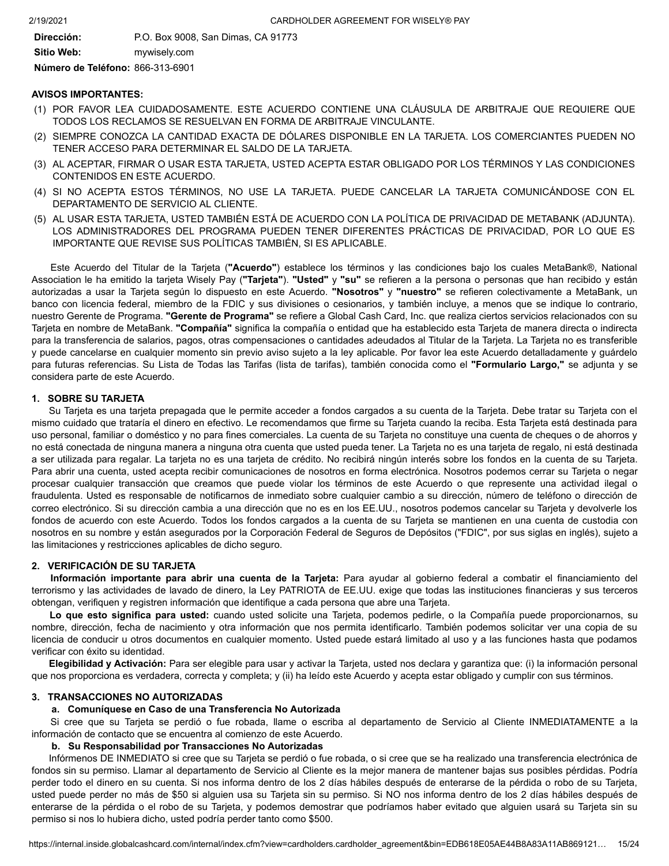**Dirección:** P.O. Box 9008, San Dimas, CA 91773 **Sitio Web:** mywisely.com

**Número de Teléfono:** 866-313-6901

#### **AVISOS IMPORTANTES:**

- (1) POR FAVOR LEA CUIDADOSAMENTE. ESTE ACUERDO CONTIENE UNA CLÁUSULA DE ARBITRAJE QUE REQUIERE QUE TODOS LOS RECLAMOS SE RESUELVAN EN FORMA DE ARBITRAJE VINCULANTE.
- (2) SIEMPRE CONOZCA LA CANTIDAD EXACTA DE DÓLARES DISPONIBLE EN LA TARJETA. LOS COMERCIANTES PUEDEN NO TENER ACCESO PARA DETERMINAR EL SALDO DE LA TARJETA.
- (3) AL ACEPTAR, FIRMAR O USAR ESTA TARJETA, USTED ACEPTA ESTAR OBLIGADO POR LOS TÉRMINOS Y LAS CONDICIONES CONTENIDOS EN ESTE ACUERDO.
- (4) SI NO ACEPTA ESTOS TÉRMINOS, NO USE LA TARJETA. PUEDE CANCELAR LA TARJETA COMUNICÁNDOSE CON EL DEPARTAMENTO DE SERVICIO AL CLIENTE.
- (5) AL USAR ESTA TARJETA, USTED TAMBIÉN ESTÁ DE ACUERDO CON LA POLÍTICA DE PRIVACIDAD DE METABANK (ADJUNTA). LOS ADMINISTRADORES DEL PROGRAMA PUEDEN TENER DIFERENTES PRÁCTICAS DE PRIVACIDAD, POR LO QUE ES IMPORTANTE QUE REVISE SUS POLÍTICAS TAMBIÉN, SI ES APLICABLE.

 Association le ha emitido la tarjeta Wisely Pay (**"Tarjeta"**). **"Usted"** y **"su"** se refieren a la persona o personas que han recibido y están Este Acuerdo del Titular de la Tarjeta (**"Acuerdo"**) establece los términos y las condiciones bajo los cuales MetaBank®, National autorizadas a usar la Tarjeta según lo dispuesto en este Acuerdo. **"Nosotros"** y **"nuestro"** se refieren colectivamente a MetaBank, un banco con licencia federal, miembro de la FDIC y sus divisiones o cesionarios, y también incluye, a menos que se indique lo contrario, nuestro Gerente de Programa. **"Gerente de Programa"** se refiere a Global Cash Card, Inc. que realiza ciertos servicios relacionados con su Tarjeta en nombre de MetaBank. **"Compañía"** significa la compañía o entidad que ha establecido esta Tarjeta de manera directa o indirecta para la transferencia de salarios, pagos, otras compensaciones o cantidades adeudados al Titular de la Tarjeta. La Tarjeta no es transferible y puede cancelarse en cualquier momento sin previo aviso sujeto a la ley aplicable. Por favor lea este Acuerdo detalladamente y guárdelo para futuras referencias. Su Lista de Todas las Tarifas (lista de tarifas), también conocida como el **"Formulario Largo,"** se adjunta y se considera parte de este Acuerdo.

#### **1. SOBRE SU TARJETA**

Su Tarjeta es una tarjeta prepagada que le permite acceder a fondos cargados a su cuenta de la Tarjeta. Debe tratar su Tarjeta con el mismo cuidado que trataría el dinero en efectivo. Le recomendamos que firme su Tarjeta cuando la reciba. Esta Tarjeta está destinada para uso personal, familiar o doméstico y no para fines comerciales. La cuenta de su Tarjeta no constituye una cuenta de cheques o de ahorros y no está conectada de ninguna manera a ninguna otra cuenta que usted pueda tener. La Tarjeta no es una tarjeta de regalo, ni está destinada a ser utilizada para regalar. La tarjeta no es una tarjeta de crédito. No recibirá ningún interés sobre los fondos en la cuenta de su Tarjeta. Para abrir una cuenta, usted acepta recibir comunicaciones de nosotros en forma electrónica. Nosotros podemos cerrar su Tarjeta o negar procesar cualquier transacción que creamos que puede violar los términos de este Acuerdo o que represente una actividad ilegal o fraudulenta. Usted es responsable de notificarnos de inmediato sobre cualquier cambio a su dirección, número de teléfono o dirección de correo electrónico. Si su dirección cambia a una dirección que no es en los EE.UU., nosotros podemos cancelar su Tarjeta y devolverle los fondos de acuerdo con este Acuerdo. Todos los fondos cargados a la cuenta de su Tarjeta se mantienen en una cuenta de custodia con nosotros en su nombre y están asegurados por la Corporación Federal de Seguros de Depósitos ("FDIC", por sus siglas en inglés), sujeto a las limitaciones y restricciones aplicables de dicho seguro.

# **2. VERIFICACIÓN DE SU TARJETA**

**Información importante para abrir una cuenta de la Tarjeta:** Para ayudar al gobierno federal a combatir el financiamiento del terrorismo y las actividades de lavado de dinero, la Ley PATRIOTA de EE.UU. exige que todas las instituciones financieras y sus terceros obtengan, verifiquen y registren información que identifique a cada persona que abre una Tarjeta.

**Lo que esto significa para usted:** cuando usted solicite una Tarjeta, podemos pedirle, o la Compañía puede proporcionarnos, su nombre, dirección, fecha de nacimiento y otra información que nos permita identificarlo. También podemos solicitar ver una copia de su licencia de conducir u otros documentos en cualquier momento. Usted puede estará limitado al uso y a las funciones hasta que podamos verificar con éxito su identidad.

**Elegibilidad y Activación:** Para ser elegible para usar y activar la Tarjeta, usted nos declara y garantiza que: (i) la información personal que nos proporciona es verdadera, correcta y completa; y (ii) ha leído este Acuerdo y acepta estar obligado y cumplir con sus términos.

# **3. TRANSACCIONES NO AUTORIZADAS**

#### **a. Comuníquese en Caso de una Transferencia No Autorizada**

Si cree que su Tarjeta se perdió o fue robada, llame o escriba al departamento de Servicio al Cliente INMEDIATAMENTE a la información de contacto que se encuentra al comienzo de este Acuerdo.

# **b. Su Responsabilidad por Transacciones No Autorizadas**

Infórmenos DE INMEDIATO si cree que su Tarjeta se perdió o fue robada, o si cree que se ha realizado una transferencia electrónica de fondos sin su permiso. Llamar al departamento de Servicio al Cliente es la mejor manera de mantener bajas sus posibles pérdidas. Podría perder todo el dinero en su cuenta. Si nos informa dentro de los 2 días hábiles después de enterarse de la pérdida o robo de su Tarjeta, usted puede perder no más de \$50 si alguien usa su Tarjeta sin su permiso. Si NO nos informa dentro de los 2 días hábiles después de enterarse de la pérdida o el robo de su Tarjeta, y podemos demostrar que podríamos haber evitado que alguien usará su Tarjeta sin su permiso si nos lo hubiera dicho, usted podría perder tanto como \$500.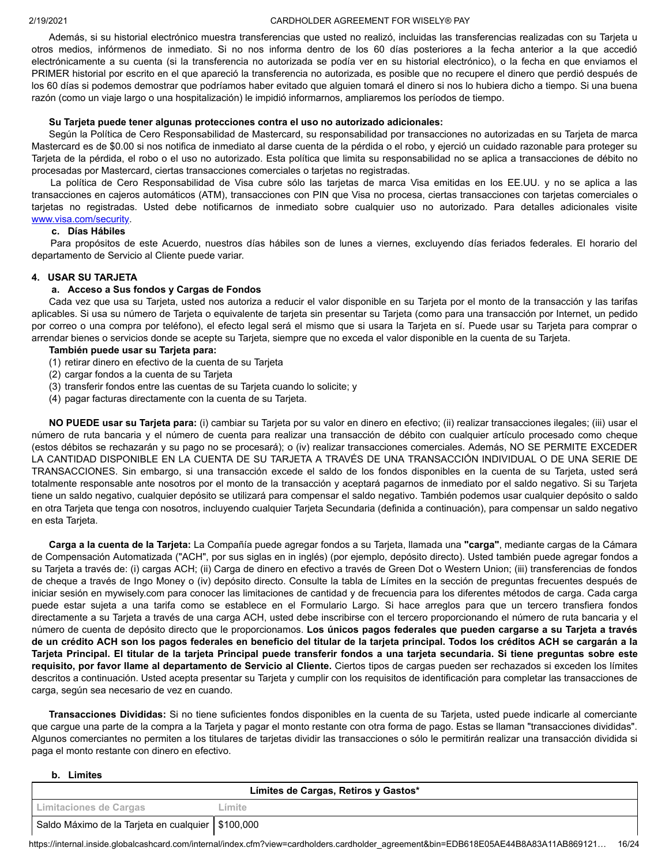Además, si su historial electrónico muestra transferencias que usted no realizó, incluidas las transferencias realizadas con su Tarjeta u otros medios, infórmenos de inmediato. Si no nos informa dentro de los 60 días posteriores a la fecha anterior a la que accedió electrónicamente a su cuenta (si la transferencia no autorizada se podía ver en su historial electrónico), o la fecha en que enviamos el PRIMER historial por escrito en el que apareció la transferencia no autorizada, es posible que no recupere el dinero que perdió después de los 60 días si podemos demostrar que podríamos haber evitado que alguien tomará el dinero si nos lo hubiera dicho a tiempo. Si una buena razón (como un viaje largo o una hospitalización) le impidió informarnos, ampliaremos los períodos de tiempo.

#### **Su Tarjeta puede tener algunas protecciones contra el uso no autorizado adicionales:**

Según la Política de Cero Responsabilidad de Mastercard, su responsabilidad por transacciones no autorizadas en su Tarjeta de marca Mastercard es de \$0.00 si nos notifica de inmediato al darse cuenta de la pérdida o el robo, y ejerció un cuidado razonable para proteger su Tarjeta de la pérdida, el robo o el uso no autorizado. Esta política que limita su responsabilidad no se aplica a transacciones de débito no procesadas por Mastercard, ciertas transacciones comerciales o tarjetas no registradas.

La política de Cero Responsabilidad de Visa cubre sólo las tarjetas de marca Visa emitidas en los EE.UU. y no se aplica a las transacciones en cajeros automáticos (ATM), transacciones con PIN que Visa no procesa, ciertas transacciones con tarjetas comerciales o tarjetas no registradas. Usted debe notificarnos de inmediato sobre cualquier uso no autorizado. Para detalles adicionales visite [www.visa.com/security.](https://internal.inside.globalcashcard.com/internal/www.visa.com/security)

#### **c. Días Hábiles**

Para propósitos de este Acuerdo, nuestros días hábiles son de lunes a viernes, excluyendo días feriados federales. El horario del departamento de Servicio al Cliente puede variar.

#### **4. USAR SU TARJETA**

# **a. Acceso a Sus fondos y Cargas de Fondos**

Cada vez que usa su Tarjeta, usted nos autoriza a reducir el valor disponible en su Tarjeta por el monto de la transacción y las tarifas aplicables. Si usa su número de Tarjeta o equivalente de tarjeta sin presentar su Tarjeta (como para una transacción por Internet, un pedido por correo o una compra por teléfono), el efecto legal será el mismo que si usara la Tarjeta en sí. Puede usar su Tarjeta para comprar o arrendar bienes o servicios donde se acepte su Tarjeta, siempre que no exceda el valor disponible en la cuenta de su Tarjeta.

#### **También puede usar su Tarjeta para:**

- (1) retirar dinero en efectivo de la cuenta de su Tarjeta
- (2) cargar fondos a la cuenta de su Tarjeta
- (3) transferir fondos entre las cuentas de su Tarjeta cuando lo solicite; y
- (4) pagar facturas directamente con la cuenta de su Tarjeta.

**NO PUEDE usar su Tarjeta para:** (i) cambiar su Tarjeta por su valor en dinero en efectivo; (ii) realizar transacciones ilegales; (iii) usar el número de ruta bancaria y el número de cuenta para realizar una transacción de débito con cualquier artículo procesado como cheque (estos débitos se rechazarán y su pago no se procesará); o (iv) realizar transacciones comerciales. Además, NO SE PERMITE EXCEDER LA CANTIDAD DISPONIBLE EN LA CUENTA DE SU TARJETA A TRAVÉS DE UNA TRANSACCIÓN INDIVIDUAL O DE UNA SERIE DE TRANSACCIONES. Sin embargo, si una transacción excede el saldo de los fondos disponibles en la cuenta de su Tarjeta, usted será totalmente responsable ante nosotros por el monto de la transacción y aceptará pagarnos de inmediato por el saldo negativo. Si su Tarjeta tiene un saldo negativo, cualquier depósito se utilizará para compensar el saldo negativo. También podemos usar cualquier depósito o saldo en otra Tarjeta que tenga con nosotros, incluyendo cualquier Tarjeta Secundaria (definida a continuación), para compensar un saldo negativo en esta Tarjeta.

 **Carga a la cuenta de la Tarjeta:** La Compañía puede agregar fondos a su Tarjeta, llamada una **"carga"**, mediante cargas de la Cámara de Compensación Automatizada ("ACH", por sus siglas en in inglés) (por ejemplo, depósito directo). Usted también puede agregar fondos a su Tarjeta a través de: (i) cargas ACH; (ii) Carga de dinero en efectivo a través de Green Dot o Western Union; (iii) transferencias de fondos de cheque a través de Ingo Money o (iv) depósito directo. Consulte la tabla de Límites en la sección de preguntas frecuentes después de iniciar sesión en [mywisely.com](https://mywisely.com) para conocer las limitaciones de cantidad y de frecuencia para los diferentes métodos de carga. Cada carga puede estar sujeta a una tarifa como se establece en el Formulario Largo. Si hace arreglos para que un tercero transfiera fondos directamente a su Tarjeta a través de una carga ACH, usted debe inscribirse con el tercero proporcionando el número de ruta bancaria y el número de cuenta de depósito directo que le proporcionamos. **Los únicos pagos federales que pueden cargarse a su Tarjeta a través de un crédito ACH son los pagos federales en beneficio del titular de la tarjeta principal. Todos los créditos ACH se cargarán a la Tarjeta Principal. El titular de la tarjeta Principal puede transferir fondos a una tarjeta secundaria. Si tiene preguntas sobre este requisito, por favor llame al departamento de Servicio al Cliente.** Ciertos tipos de cargas pueden ser rechazados si exceden los límites descritos a continuación. Usted acepta presentar su Tarjeta y cumplir con los requisitos de identificación para completar las transacciones de carga, según sea necesario de vez en cuando.

**Transacciones Divididas:** Si no tiene suficientes fondos disponibles en la cuenta de su Tarjeta, usted puede indicarle al comerciante que cargue una parte de la compra a la Tarjeta y pagar el monto restante con otra forma de pago. Estas se llaman "transacciones divididas". Algunos comerciantes no permiten a los titulares de tarjetas dividir las transacciones o sólo le permitirán realizar una transacción dividida si paga el monto restante con dinero en efectivo.

#### **b. Limites**

|                                                     | Límites de Cargas, Retiros y Gastos*                                                                                                           |         |  |  |
|-----------------------------------------------------|------------------------------------------------------------------------------------------------------------------------------------------------|---------|--|--|
|                                                     | Limitaciones de Cargas                                                                                                                         | _ímite_ |  |  |
| Saldo Máximo de la Tarjeta en cualquier   \$100,000 |                                                                                                                                                |         |  |  |
|                                                     | 16/24<br>https://internal.inside.globalcashcard.com/internal/index.cfm?view=cardholders.cardholder_agreement&bin=EDB618E05AE44B8A83A11AB869121 |         |  |  |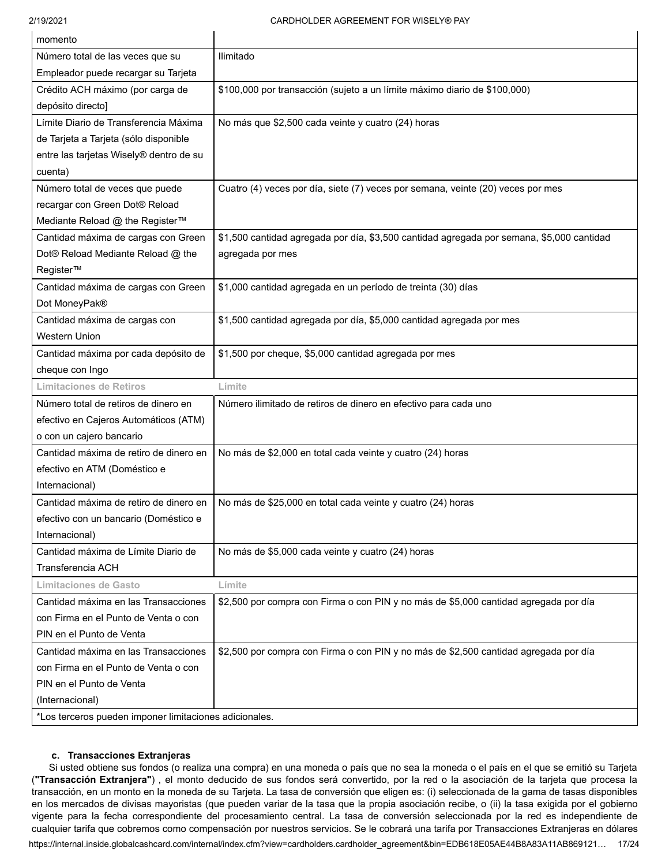| momento                                 |                                                                                           |
|-----------------------------------------|-------------------------------------------------------------------------------------------|
| Número total de las veces que su        | Ilimitado                                                                                 |
| Empleador puede recargar su Tarjeta     |                                                                                           |
| Crédito ACH máximo (por carga de        | \$100,000 por transacción (sujeto a un límite máximo diario de \$100,000)                 |
| depósito directo]                       |                                                                                           |
| Límite Diario de Transferencia Máxima   | No más que \$2,500 cada veinte y cuatro (24) horas                                        |
| de Tarjeta a Tarjeta (sólo disponible   |                                                                                           |
| entre las tarjetas Wisely® dentro de su |                                                                                           |
| cuenta)                                 |                                                                                           |
| Número total de veces que puede         | Cuatro (4) veces por día, siete (7) veces por semana, veinte (20) veces por mes           |
| recargar con Green Dot® Reload          |                                                                                           |
| Mediante Reload @ the Register™         |                                                                                           |
| Cantidad máxima de cargas con Green     | \$1,500 cantidad agregada por día, \$3,500 cantidad agregada por semana, \$5,000 cantidad |
| Dot® Reload Mediante Reload @ the       | agregada por mes                                                                          |
| Register™                               |                                                                                           |
| Cantidad máxima de cargas con Green     | \$1,000 cantidad agregada en un período de treinta (30) días                              |
| Dot MoneyPak®                           |                                                                                           |
| Cantidad máxima de cargas con           | \$1,500 cantidad agregada por día, \$5,000 cantidad agregada por mes                      |
| <b>Western Union</b>                    |                                                                                           |
| Cantidad máxima por cada depósito de    | \$1,500 por cheque, \$5,000 cantidad agregada por mes                                     |
| cheque con Ingo                         |                                                                                           |
| <b>Limitaciones de Retiros</b>          | Límite                                                                                    |
| Número total de retiros de dinero en    | Número ilimitado de retiros de dinero en efectivo para cada uno                           |
| efectivo en Cajeros Automáticos (ATM)   |                                                                                           |
| o con un cajero bancario                |                                                                                           |
| Cantidad máxima de retiro de dinero en  | No más de \$2,000 en total cada veinte y cuatro (24) horas                                |
|                                         |                                                                                           |
| efectivo en ATM (Doméstico e            |                                                                                           |
| Internacional)                          |                                                                                           |
| Cantidad máxima de retiro de dinero en  | No más de \$25,000 en total cada veinte y cuatro (24) horas                               |
| efectivo con un bancario (Doméstico e   |                                                                                           |
| Internacional)                          |                                                                                           |
| Cantidad máxima de Límite Diario de     | No más de \$5,000 cada veinte y cuatro (24) horas                                         |
| Transferencia ACH                       |                                                                                           |
| <b>Limitaciones de Gasto</b>            | Límite                                                                                    |
| Cantidad máxima en las Transacciones    | \$2,500 por compra con Firma o con PIN y no más de \$5,000 cantidad agregada por día      |
| con Firma en el Punto de Venta o con    |                                                                                           |
| PIN en el Punto de Venta                |                                                                                           |
| Cantidad máxima en las Transacciones    | \$2,500 por compra con Firma o con PIN y no más de \$2,500 cantidad agregada por día      |
| con Firma en el Punto de Venta o con    |                                                                                           |
| PIN en el Punto de Venta                |                                                                                           |
| (Internacional)                         |                                                                                           |

#### **c. Transacciones Extranjeras**

Si usted obtiene sus fondos (o realiza una compra) en una moneda o país que no sea la moneda o el país en el que se emitió su Tarjeta (**"Transacción Extranjera"**) , el monto deducido de sus fondos será convertido, por la red o la asociación de la tarjeta que procesa la transacción, en un monto en la moneda de su Tarjeta. La tasa de conversión que eligen es: (i) seleccionada de la gama de tasas disponibles en los mercados de divisas mayoristas (que pueden variar de la tasa que la propia asociación recibe, o (ii) la tasa exigida por el gobierno vigente para la fecha correspondiente del procesamiento central. La tasa de conversión seleccionada por la red es independiente de cualquier tarifa que cobremos como compensación por nuestros servicios. Se le cobrará una tarifa por Transacciones Extranjeras en dólares

[https://internal.inside.globalcashcard.com/internal/index.cfm?view=cardholders.cardholder\\_agreement&bin=EDB618E05AE44B8A83A11AB869121](https://internal.inside.globalcashcard.com/internal/index.cfm?view=cardholders.cardholder_agreement&bin=EDB618E05AE44B8A83A11AB869121)… 17/24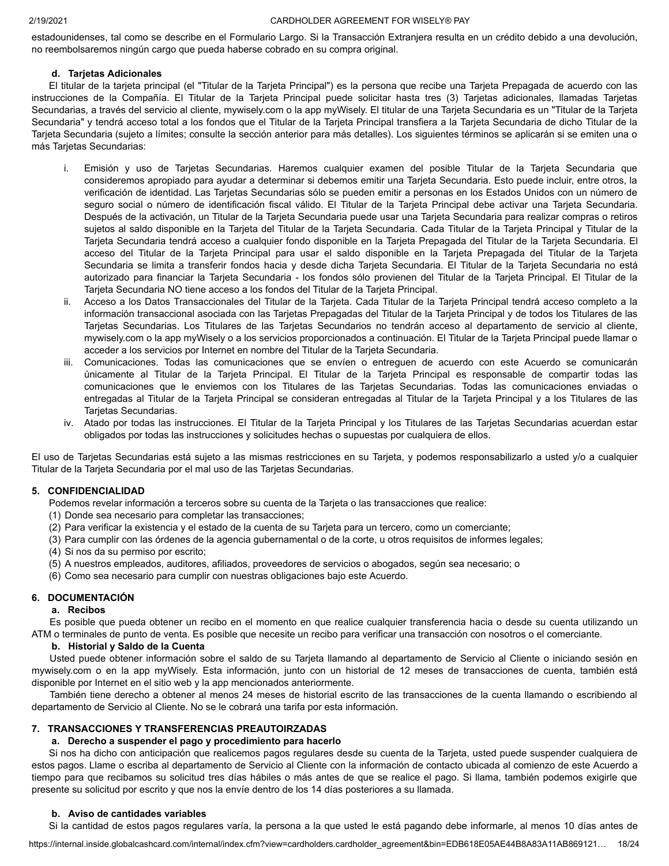estadounidenses, tal como se describe en el Formulario Largo. Si la Transacción Extranjera resulta en un crédito debido a una devolución, no reembolsaremos ningún cargo que pueda haberse cobrado en su compra original.

# **d. Tarjetas Adicionales**

El titular de la tarjeta principal (el "Titular de la Tarjeta Principal") es la persona que recibe una Tarjeta Prepagada de acuerdo con las instrucciones de la Compañía. El Titular de la Tarjeta Principal puede solicitar hasta tres (3) Tarjetas adicionales, llamadas Tarjetas Secundarias, a través del servicio al cliente, [mywisely.com](https://mywisely.com) o la app myWisely. El titular de una Tarjeta Secundaria es un "Titular de la Tarjeta Secundaria" y tendrá acceso total a los fondos que el Titular de la Tarjeta Principal transfiera a la Tarjeta Secundaria de dicho Titular de la Tarjeta Secundaria (sujeto a límites; consulte la sección anterior para más detalles). Los siguientes términos se aplicarán si se emiten una o más Tarjetas Secundarias:

- i. Emisión y uso de Tarjetas Secundarias. Haremos cualquier examen del posible Titular de la Tarjeta Secundaria que consideremos apropiado para ayudar a determinar si debemos emitir una Tarjeta Secundaria. Esto puede incluir, entre otros, la verificación de identidad. Las Tarjetas Secundarias sólo se pueden emitir a personas en los Estados Unidos con un número de seguro social o número de identificación fiscal válido. El Titular de la Tarjeta Principal debe activar una Tarjeta Secundaria. Después de la activación, un Titular de la Tarjeta Secundaria puede usar una Tarjeta Secundaria para realizar compras o retiros sujetos al saldo disponible en la Tarjeta del Titular de la Tarjeta Secundaria. Cada Titular de la Tarjeta Principal y Titular de la Tarjeta Secundaria tendrá acceso a cualquier fondo disponible en la Tarjeta Prepagada del Titular de la Tarjeta Secundaria. El acceso del Titular de la Tarjeta Principal para usar el saldo disponible en la Tarjeta Prepagada del Titular de la Tarjeta Secundaria se limita a transferir fondos hacia y desde dicha Tarjeta Secundaria. El Titular de la Tarjeta Secundaria no está autorizado para financiar la Tarjeta Secundaria - los fondos sólo provienen del Titular de la Tarjeta Principal. El Titular de la Tarjeta Secundaria NO tiene acceso a los fondos del Titular de la Tarjeta Principal.
- ii. Acceso a los Datos Transaccionales del Titular de la Tarjeta. Cada Titular de la Tarjeta Principal tendrá acceso completo a la información transaccional asociada con las Tarjetas Prepagadas del Titular de la Tarjeta Principal y de todos los Titulares de las Tarjetas Secundarias. Los Titulares de las Tarjetas Secundarios no tendrán acceso al departamento de servicio al cliente, [mywisely.com](https://mywisely.com) o la app myWisely o a los servicios proporcionados a continuación. El Titular de la Tarjeta Principal puede llamar o acceder a los servicios por Internet en nombre del Titular de la Tarjeta Secundaria.
- iii. Comunicaciones. Todas las comunicaciones que se envíen o entreguen de acuerdo con este Acuerdo se comunicarán únicamente al Titular de la Tarjeta Principal. El Titular de la Tarjeta Principal es responsable de compartir todas las comunicaciones que le enviemos con los Titulares de las Tarjetas Secundarias. Todas las comunicaciones enviadas o entregadas al Titular de la Tarjeta Principal se consideran entregadas al Titular de la Tarjeta Principal y a los Titulares de las Tarjetas Secundarias.
- iv. Atado por todas las instrucciones. El Titular de la Tarjeta Principal y los Titulares de las Tarjetas Secundarias acuerdan estar obligados por todas las instrucciones y solicitudes hechas o supuestas por cualquiera de ellos.

El uso de Tarjetas Secundarias está sujeto a las mismas restricciones en su Tarjeta, y podemos responsabilizarlo a usted y/o a cualquier Titular de la Tarjeta Secundaria por el mal uso de las Tarjetas Secundarias.

# **5. CONFIDENCIALIDAD**

Podemos revelar información a terceros sobre su cuenta de la Tarjeta o las transacciones que realice:

- (1) Donde sea necesario para completar las transacciones;
- (2) Para verificar la existencia y el estado de la cuenta de su Tarjeta para un tercero, como un comerciante;
- (3) Para cumplir con las órdenes de la agencia gubernamental o de la corte, u otros requisitos de informes legales;
- (4) Si nos da su permiso por escrito;
- (5) A nuestros empleados, auditores, afiliados, proveedores de servicios o abogados, según sea necesario; o
- (6) Como sea necesario para cumplir con nuestras obligaciones bajo este Acuerdo.

# **6. DOCUMENTACIÓN**

# **a. Recibos**

Es posible que pueda obtener un recibo en el momento en que realice cualquier transferencia hacia o desde su cuenta utilizando un ATM o terminales de punto de venta. Es posible que necesite un recibo para verificar una transacción con nosotros o el comerciante.

# **b. Historial y Saldo de la Cuenta**

Usted puede obtener información sobre el saldo de su Tarjeta llamando al departamento de Servicio al Cliente o iniciando sesión en [mywisely.com](https://mywisely.com) o en la app myWisely. Esta información, junto con un historial de 12 meses de transacciones de cuenta, también está disponible por Internet en el sitio web y la app mencionados anteriormente.

También tiene derecho a obtener al menos 24 meses de historial escrito de las transacciones de la cuenta llamando o escribiendo al departamento de Servicio al Cliente. No se le cobrará una tarifa por esta información.

# **7. TRANSACCIONES Y TRANSFERENCIAS PREAUTOIRZADAS**

#### **a. Derecho a suspender el pago y procedimiento para hacerlo**

Si nos ha dicho con anticipación que realicemos pagos regulares desde su cuenta de la Tarjeta, usted puede suspender cualquiera de estos pagos. Llame o escriba al departamento de Servicio al Cliente con la información de contacto ubicada al comienzo de este Acuerdo a tiempo para que recibamos su solicitud tres días hábiles o más antes de que se realice el pago. Si llama, también podemos exigirle que presente su solicitud por escrito y que nos la envíe dentro de los 14 días posteriores a su llamada.

# **b. Aviso de cantidades variables**

Si la cantidad de estos pagos regulares varía, la persona a la que usted le está pagando debe informarle, al menos 10 días antes de

[https://internal.inside.globalcashcard.com/internal/index.cfm?view=cardholders.cardholder\\_agreement&bin=EDB618E05AE44B8A83A11AB869121](https://internal.inside.globalcashcard.com/internal/index.cfm?view=cardholders.cardholder_agreement&bin=EDB618E05AE44B8A83A11AB869121)… 18/24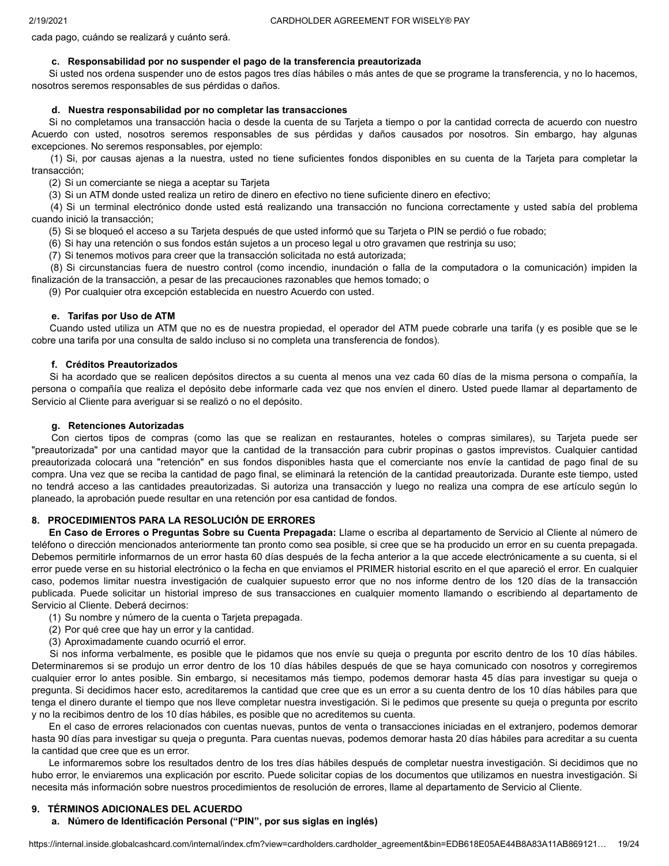cada pago, cuándo se realizará y cuánto será.

# **c. Responsabilidad por no suspender el pago de la transferencia preautorizada**

Si usted nos ordena suspender uno de estos pagos tres días hábiles o más antes de que se programe la transferencia, y no lo hacemos, nosotros seremos responsables de sus pérdidas o daños.

#### **d. Nuestra responsabilidad por no completar las transacciones**

Si no completamos una transacción hacia o desde la cuenta de su Tarjeta a tiempo o por la cantidad correcta de acuerdo con nuestro Acuerdo con usted, nosotros seremos responsables de sus pérdidas y daños causados por nosotros. Sin embargo, hay algunas excepciones. No seremos responsables, por ejemplo:

(1) Si, por causas ajenas a la nuestra, usted no tiene suficientes fondos disponibles en su cuenta de la Tarjeta para completar la transacción;

(2) Si un comerciante se niega a aceptar su Tarjeta

(3) Si un ATM donde usted realiza un retiro de dinero en efectivo no tiene suficiente dinero en efectivo;

(4) Si un terminal electrónico donde usted está realizando una transacción no funciona correctamente y usted sabía del problema cuando inició la transacción;

(5) Si se bloqueó el acceso a su Tarjeta después de que usted informó que su Tarjeta o PIN se perdió o fue robado;

(6) Si hay una retención o sus fondos están sujetos a un proceso legal u otro gravamen que restrinja su uso;

(7) Si tenemos motivos para creer que la transacción solicitada no está autorizada;

(8) Si circunstancias fuera de nuestro control (como incendio, inundación o falla de la computadora o la comunicación) impiden la finalización de la transacción, a pesar de las precauciones razonables que hemos tomado; o

(9) Por cualquier otra excepción establecida en nuestro Acuerdo con usted.

#### **e. Tarifas por Uso de ATM**

Cuando usted utiliza un ATM que no es de nuestra propiedad, el operador del ATM puede cobrarle una tarifa (y es posible que se le cobre una tarifa por una consulta de saldo incluso si no completa una transferencia de fondos).

#### **f. Créditos Preautorizados**

Si ha acordado que se realicen depósitos directos a su cuenta al menos una vez cada 60 días de la misma persona o compañía, la persona o compañía que realiza el depósito debe informarle cada vez que nos envíen el dinero. Usted puede llamar al departamento de Servicio al Cliente para averiguar si se realizó o no el depósito.

#### **g. Retenciones Autorizadas**

Con ciertos tipos de compras (como las que se realizan en restaurantes, hoteles o compras similares), su Tarjeta puede ser "preautorizada" por una cantidad mayor que la cantidad de la transacción para cubrir propinas o gastos imprevistos. Cualquier cantidad preautorizada colocará una "retención" en sus fondos disponibles hasta que el comerciante nos envíe la cantidad de pago final de su compra. Una vez que se reciba la cantidad de pago final, se eliminará la retención de la cantidad preautorizada. Durante este tiempo, usted no tendrá acceso a las cantidades preautorizadas. Si autoriza una transacción y luego no realiza una compra de ese artículo según lo planeado, la aprobación puede resultar en una retención por esa cantidad de fondos.

# **8. PROCEDIMIENTOS PARA LA RESOLUCIÓN DE ERRORES**

**En Caso de Errores o Preguntas Sobre su Cuenta Prepagada:** Llame o escriba al departamento de Servicio al Cliente al número de teléfono o dirección mencionados anteriormente tan pronto como sea posible, si cree que se ha producido un error en su cuenta prepagada. Debemos permitirle informarnos de un error hasta 60 días después de la fecha anterior a la que accede electrónicamente a su cuenta, si el error puede verse en su historial electrónico o la fecha en que enviamos el PRIMER historial escrito en el que apareció el error. En cualquier caso, podemos limitar nuestra investigación de cualquier supuesto error que no nos informe dentro de los 120 días de la transacción publicada. Puede solicitar un historial impreso de sus transacciones en cualquier momento llamando o escribiendo al departamento de Servicio al Cliente. Deberá decirnos:

- (1) Su nombre y número de la cuenta o Tarjeta prepagada.
- (2) Por qué cree que hay un error y la cantidad.
- (3) Aproximadamente cuando ocurrió el error.

Si nos informa verbalmente, es posible que le pidamos que nos envíe su queja o pregunta por escrito dentro de los 10 días hábiles. Determinaremos si se produjo un error dentro de los 10 días hábiles después de que se haya comunicado con nosotros y corregiremos cualquier error lo antes posible. Sin embargo, si necesitamos más tiempo, podemos demorar hasta 45 días para investigar su queja o pregunta. Si decidimos hacer esto, acreditaremos la cantidad que cree que es un error a su cuenta dentro de los 10 días hábiles para que tenga el dinero durante el tiempo que nos lleve completar nuestra investigación. Si le pedimos que presente su queja o pregunta por escrito y no la recibimos dentro de los 10 días hábiles, es posible que no acreditemos su cuenta.

En el caso de errores relacionados con cuentas nuevas, puntos de venta o transacciones iniciadas en el extranjero, podemos demorar hasta 90 días para investigar su queja o pregunta. Para cuentas nuevas, podemos demorar hasta 20 días hábiles para acreditar a su cuenta la cantidad que cree que es un error.

Le informaremos sobre los resultados dentro de los tres días hábiles después de completar nuestra investigación. Si decidimos que no hubo error, le enviaremos una explicación por escrito. Puede solicitar copias de los documentos que utilizamos en nuestra investigación. Si necesita más información sobre nuestros procedimientos de resolución de errores, llame al departamento de Servicio al Cliente.

#### **9. TÉRMINOS ADICIONALES DEL ACUERDO**

#### **a. Número de Identificación Personal ("PIN", por sus siglas en inglés)**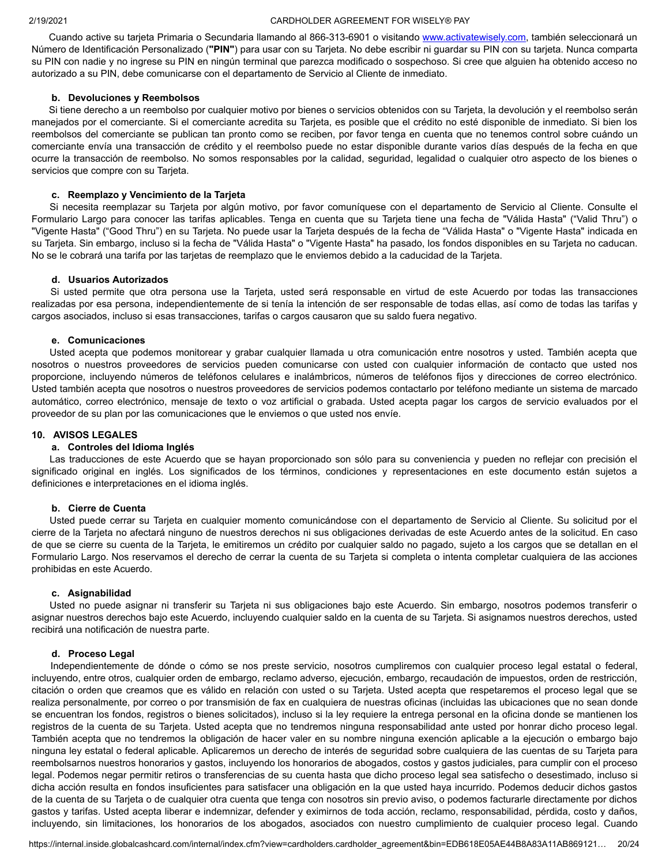Cuando active su tarjeta Primaria o Secundaria llamando al 866-313-6901 o visitando [www.activatewisely.com](http://www.activatewisely.com/), también seleccionará un Número de Identificación Personalizado (**"PIN"**) para usar con su Tarjeta. No debe escribir ni guardar su PIN con su tarjeta. Nunca comparta su PIN con nadie y no ingrese su PIN en ningún terminal que parezca modificado o sospechoso. Si cree que alguien ha obtenido acceso no autorizado a su PIN, debe comunicarse con el departamento de Servicio al Cliente de inmediato.

#### **b. Devoluciones y Reembolsos**

Si tiene derecho a un reembolso por cualquier motivo por bienes o servicios obtenidos con su Tarjeta, la devolución y el reembolso serán manejados por el comerciante. Si el comerciante acredita su Tarjeta, es posible que el crédito no esté disponible de inmediato. Si bien los reembolsos del comerciante se publican tan pronto como se reciben, por favor tenga en cuenta que no tenemos control sobre cuándo un comerciante envía una transacción de crédito y el reembolso puede no estar disponible durante varios días después de la fecha en que ocurre la transacción de reembolso. No somos responsables por la calidad, seguridad, legalidad o cualquier otro aspecto de los bienes o servicios que compre con su Tarjeta.

#### **c. Reemplazo y Vencimiento de la Tarjeta**

Si necesita reemplazar su Tarjeta por algún motivo, por favor comuníquese con el departamento de Servicio al Cliente. Consulte el Formulario Largo para conocer las tarifas aplicables. Tenga en cuenta que su Tarjeta tiene una fecha de "Válida Hasta" ("Valid Thru") o "Vigente Hasta" ("Good Thru") en su Tarjeta. No puede usar la Tarjeta después de la fecha de "Válida Hasta" o "Vigente Hasta" indicada en su Tarjeta. Sin embargo, incluso si la fecha de "Válida Hasta" o "Vigente Hasta" ha pasado, los fondos disponibles en su Tarjeta no caducan. No se le cobrará una tarifa por las tarjetas de reemplazo que le enviemos debido a la caducidad de la Tarjeta.

#### **d. Usuarios Autorizados**

Si usted permite que otra persona use la Tarjeta, usted será responsable en virtud de este Acuerdo por todas las transacciones realizadas por esa persona, independientemente de si tenía la intención de ser responsable de todas ellas, así como de todas las tarifas y cargos asociados, incluso si esas transacciones, tarifas o cargos causaron que su saldo fuera negativo.

#### **e. Comunicaciones**

Usted acepta que podemos monitorear y grabar cualquier llamada u otra comunicación entre nosotros y usted. También acepta que nosotros o nuestros proveedores de servicios pueden comunicarse con usted con cualquier información de contacto que usted nos proporcione, incluyendo números de teléfonos celulares e inalámbricos, números de teléfonos fijos y direcciones de correo electrónico. Usted también acepta que nosotros o nuestros proveedores de servicios podemos contactarlo por teléfono mediante un sistema de marcado automático, correo electrónico, mensaje de texto o voz artificial o grabada. Usted acepta pagar los cargos de servicio evaluados por el proveedor de su plan por las comunicaciones que le enviemos o que usted nos envíe.

#### **10. AVISOS LEGALES**

#### **a. Controles del Idioma Inglés**

Las traducciones de este Acuerdo que se hayan proporcionado son sólo para su conveniencia y pueden no reflejar con precisión el significado original en inglés. Los significados de los términos, condiciones y representaciones en este documento están sujetos a definiciones e interpretaciones en el idioma inglés.

#### **b. Cierre de Cuenta**

Usted puede cerrar su Tarjeta en cualquier momento comunicándose con el departamento de Servicio al Cliente. Su solicitud por el cierre de la Tarjeta no afectará ninguno de nuestros derechos ni sus obligaciones derivadas de este Acuerdo antes de la solicitud. En caso de que se cierre su cuenta de la Tarjeta, le emitiremos un crédito por cualquier saldo no pagado, sujeto a los cargos que se detallan en el Formulario Largo. Nos reservamos el derecho de cerrar la cuenta de su Tarjeta si completa o intenta completar cualquiera de las acciones prohibidas en este Acuerdo.

#### **c. Asignabilidad**

Usted no puede asignar ni transferir su Tarjeta ni sus obligaciones bajo este Acuerdo. Sin embargo, nosotros podemos transferir o asignar nuestros derechos bajo este Acuerdo, incluyendo cualquier saldo en la cuenta de su Tarjeta. Si asignamos nuestros derechos, usted recibirá una notificación de nuestra parte.

#### **d. Proceso Legal**

Independientemente de dónde o cómo se nos preste servicio, nosotros cumpliremos con cualquier proceso legal estatal o federal, incluyendo, entre otros, cualquier orden de embargo, reclamo adverso, ejecución, embargo, recaudación de impuestos, orden de restricción, citación o orden que creamos que es válido en relación con usted o su Tarjeta. Usted acepta que respetaremos el proceso legal que se realiza personalmente, por correo o por transmisión de fax en cualquiera de nuestras oficinas (incluidas las ubicaciones que no sean donde se encuentran los fondos, registros o bienes solicitados), incluso si la ley requiere la entrega personal en la oficina donde se mantienen los registros de la cuenta de su Tarjeta. Usted acepta que no tendremos ninguna responsabilidad ante usted por honrar dicho proceso legal. También acepta que no tendremos la obligación de hacer valer en su nombre ninguna exención aplicable a la ejecución o embargo bajo ninguna ley estatal o federal aplicable. Aplicaremos un derecho de interés de seguridad sobre cualquiera de las cuentas de su Tarjeta para reembolsarnos nuestros honorarios y gastos, incluyendo los honorarios de abogados, costos y gastos judiciales, para cumplir con el proceso legal. Podemos negar permitir retiros o transferencias de su cuenta hasta que dicho proceso legal sea satisfecho o desestimado, incluso si dicha acción resulta en fondos insuficientes para satisfacer una obligación en la que usted haya incurrido. Podemos deducir dichos gastos de la cuenta de su Tarjeta o de cualquier otra cuenta que tenga con nosotros sin previo aviso, o podemos facturarle directamente por dichos gastos y tarifas. Usted acepta liberar e indemnizar, defender y eximirnos de toda acción, reclamo, responsabilidad, pérdida, costo y daños, incluyendo, sin limitaciones, los honorarios de los abogados, asociados con nuestro cumplimiento de cualquier proceso legal. Cuando

[https://internal.inside.globalcashcard.com/internal/index.cfm?view=cardholders.cardholder\\_agreement&bin=EDB618E05AE44B8A83A11AB869121](https://internal.inside.globalcashcard.com/internal/index.cfm?view=cardholders.cardholder_agreement&bin=EDB618E05AE44B8A83A11AB869121)… 20/24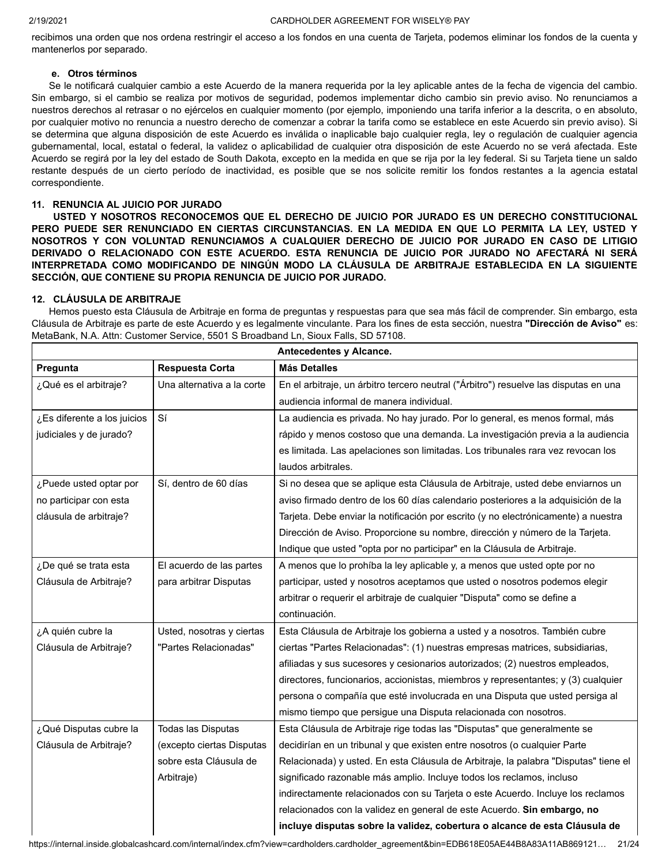recibimos una orden que nos ordena restringir el acceso a los fondos en una cuenta de Tarjeta, podemos eliminar los fondos de la cuenta y mantenerlos por separado.

# **e. Otros términos**

Se le notificará cualquier cambio a este Acuerdo de la manera requerida por la ley aplicable antes de la fecha de vigencia del cambio. Sin embargo, si el cambio se realiza por motivos de seguridad, podemos implementar dicho cambio sin previo aviso. No renunciamos a nuestros derechos al retrasar o no ejércelos en cualquier momento (por ejemplo, imponiendo una tarifa inferior a la descrita, o en absoluto, por cualquier motivo no renuncia a nuestro derecho de comenzar a cobrar la tarifa como se establece en este Acuerdo sin previo aviso). Si se determina que alguna disposición de este Acuerdo es inválida o inaplicable bajo cualquier regla, ley o regulación de cualquier agencia gubernamental, local, estatal o federal, la validez o aplicabilidad de cualquier otra disposición de este Acuerdo no se verá afectada. Este Acuerdo se regirá por la ley del estado de South Dakota, excepto en la medida en que se rija por la ley federal. Si su Tarjeta tiene un saldo restante después de un cierto período de inactividad, es posible que se nos solicite remitir los fondos restantes a la agencia estatal correspondiente.

## **11. RENUNCIA AL JUICIO POR JURADO**

**USTED Y NOSOTROS RECONOCEMOS QUE EL DERECHO DE JUICIO POR JURADO ES UN DERECHO CONSTITUCIONAL PERO PUEDE SER RENUNCIADO EN CIERTAS CIRCUNSTANCIAS. EN LA MEDIDA EN QUE LO PERMITA LA LEY, USTED Y NOSOTROS Y CON VOLUNTAD RENUNCIAMOS A CUALQUIER DERECHO DE JUICIO POR JURADO EN CASO DE LITIGIO DERIVADO O RELACIONADO CON ESTE ACUERDO. ESTA RENUNCIA DE JUICIO POR JURADO NO AFECTARÁ NI SERÁ INTERPRETADA COMO MODIFICANDO DE NINGÚN MODO LA CLÁUSULA DE ARBITRAJE ESTABLECIDA EN LA SIGUIENTE SECCIÓN, QUE CONTIENE SU PROPIA RENUNCIA DE JUICIO POR JURADO.**

# **12. CLÁUSULA DE ARBITRAJE**

Hemos puesto esta Cláusula de Arbitraje en forma de preguntas y respuestas para que sea más fácil de comprender. Sin embargo, esta Cláusula de Arbitraje es parte de este Acuerdo y es legalmente vinculante. Para los fines de esta sección, nuestra **"Dirección de Aviso"** es: MetaBank, N.A. Attn: Customer Service, 5501 S Broadband Ln, Sioux Falls, SD 57108.

| Antecedentes y Alcance.     |                            |                                                                                      |  |
|-----------------------------|----------------------------|--------------------------------------------------------------------------------------|--|
| Pregunta                    | Respuesta Corta            | <b>Más Detalles</b>                                                                  |  |
| ¿Qué es el arbitraje?       | Una alternativa a la corte | En el arbitraje, un árbitro tercero neutral ("Árbitro") resuelve las disputas en una |  |
|                             |                            | audiencia informal de manera individual.                                             |  |
| ¿Es diferente a los juicios | Sí                         | La audiencia es privada. No hay jurado. Por lo general, es menos formal, más         |  |
| judiciales y de jurado?     |                            | rápido y menos costoso que una demanda. La investigación previa a la audiencia       |  |
|                             |                            | es limitada. Las apelaciones son limitadas. Los tribunales rara vez revocan los      |  |
|                             |                            | laudos arbitrales.                                                                   |  |
| ¿Puede usted optar por      | Sí, dentro de 60 días      | Si no desea que se aplique esta Cláusula de Arbitraje, usted debe enviarnos un       |  |
| no participar con esta      |                            | aviso firmado dentro de los 60 días calendario posteriores a la adquisición de la    |  |
| cláusula de arbitraje?      |                            | Tarjeta. Debe enviar la notificación por escrito (y no electrónicamente) a nuestra   |  |
|                             |                            | Dirección de Aviso. Proporcione su nombre, dirección y número de la Tarjeta.         |  |
|                             |                            | Indique que usted "opta por no participar" en la Cláusula de Arbitraje.              |  |
| ¿De qué se trata esta       | El acuerdo de las partes   | A menos que lo prohíba la ley aplicable y, a menos que usted opte por no             |  |
| Cláusula de Arbitraje?      | para arbitrar Disputas     | participar, usted y nosotros aceptamos que usted o nosotros podemos elegir           |  |
|                             |                            | arbitrar o requerir el arbitraje de cualquier "Disputa" como se define a             |  |
|                             |                            | continuación.                                                                        |  |
| ¿A quién cubre la           | Usted, nosotras y ciertas  | Esta Cláusula de Arbitraje los gobierna a usted y a nosotros. También cubre          |  |
| Cláusula de Arbitraje?      | "Partes Relacionadas"      | ciertas "Partes Relacionadas": (1) nuestras empresas matrices, subsidiarias,         |  |
|                             |                            | afiliadas y sus sucesores y cesionarios autorizados; (2) nuestros empleados,         |  |
|                             |                            | directores, funcionarios, accionistas, miembros y representantes; y (3) cualquier    |  |
|                             |                            | persona o compañía que esté involucrada en una Disputa que usted persiga al          |  |
|                             |                            | mismo tiempo que persigue una Disputa relacionada con nosotros.                      |  |
| ¿Qué Disputas cubre la      | Todas las Disputas         | Esta Cláusula de Arbitraje rige todas las "Disputas" que generalmente se             |  |
| Cláusula de Arbitraje?      | (excepto ciertas Disputas  | decidirían en un tribunal y que existen entre nosotros (o cualquier Parte            |  |
|                             | sobre esta Cláusula de     | Relacionada) y usted. En esta Cláusula de Arbitraje, la palabra "Disputas" tiene el  |  |
|                             | Arbitraje)                 | significado razonable más amplio. Incluye todos los reclamos, incluso                |  |
|                             |                            | indirectamente relacionados con su Tarjeta o este Acuerdo. Incluye los reclamos      |  |
|                             |                            | relacionados con la validez en general de este Acuerdo. Sin embargo, no              |  |
|                             |                            | incluye disputas sobre la validez, cobertura o alcance de esta Cláusula de           |  |

[https://internal.inside.globalcashcard.com/internal/index.cfm?view=cardholders.cardholder\\_agreement&bin=EDB618E05AE44B8A83A11AB869121](https://internal.inside.globalcashcard.com/internal/index.cfm?view=cardholders.cardholder_agreement&bin=EDB618E05AE44B8A83A11AB869121)… 21/24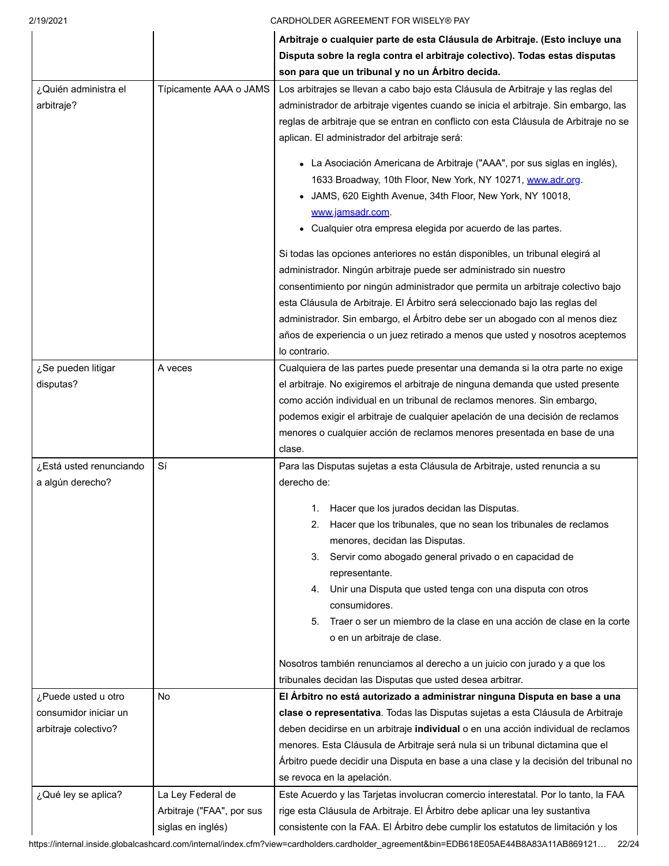|                                                                      |                                                                     | Arbitraje o cualquier parte de esta Cláusula de Arbitraje. (Esto incluye una<br>Disputa sobre la regla contra el arbitraje colectivo). Todas estas disputas<br>son para que un tribunal y no un Árbitro decida.                                                                                                                                                                                                                                                                                                                                                                                                                                                             |
|----------------------------------------------------------------------|---------------------------------------------------------------------|-----------------------------------------------------------------------------------------------------------------------------------------------------------------------------------------------------------------------------------------------------------------------------------------------------------------------------------------------------------------------------------------------------------------------------------------------------------------------------------------------------------------------------------------------------------------------------------------------------------------------------------------------------------------------------|
| ¿Quién administra el<br>arbitraje?                                   | Típicamente AAA o JAMS                                              | Los arbitrajes se llevan a cabo bajo esta Cláusula de Arbitraje y las reglas del<br>administrador de arbitraje vigentes cuando se inicia el arbitraje. Sin embargo, las<br>reglas de arbitraje que se entran en conflicto con esta Cláusula de Arbitraje no se<br>aplican. El administrador del arbitraje será:                                                                                                                                                                                                                                                                                                                                                             |
|                                                                      |                                                                     | • La Asociación Americana de Arbitraje ("AAA", por sus siglas en inglés),<br>1633 Broadway, 10th Floor, New York, NY 10271, www.adr.org.<br>JAMS, 620 Eighth Avenue, 34th Floor, New York, NY 10018,<br>www.jamsadr.com.<br>Cualquier otra empresa elegida por acuerdo de las partes.                                                                                                                                                                                                                                                                                                                                                                                       |
|                                                                      |                                                                     | Si todas las opciones anteriores no están disponibles, un tribunal elegirá al<br>administrador. Ningún arbitraje puede ser administrado sin nuestro<br>consentimiento por ningún administrador que permita un arbitraje colectivo bajo<br>esta Cláusula de Arbitraje. El Árbitro será seleccionado bajo las reglas del<br>administrador. Sin embargo, el Árbitro debe ser un abogado con al menos diez<br>años de experiencia o un juez retirado a menos que usted y nosotros aceptemos<br>lo contrario.                                                                                                                                                                    |
| ¿Se pueden litigar<br>disputas?                                      | A veces                                                             | Cualquiera de las partes puede presentar una demanda si la otra parte no exige<br>el arbitraje. No exigiremos el arbitraje de ninguna demanda que usted presente<br>como acción individual en un tribunal de reclamos menores. Sin embargo,<br>podemos exigir el arbitraje de cualquier apelación de una decisión de reclamos<br>menores o cualquier acción de reclamos menores presentada en base de una<br>clase.                                                                                                                                                                                                                                                         |
| ¿Está usted renunciando<br>a algún derecho?                          | Sí                                                                  | Para las Disputas sujetas a esta Cláusula de Arbitraje, usted renuncia a su<br>derecho de:<br>1. Hacer que los jurados decidan las Disputas.<br>2. Hacer que los tribunales, que no sean los tribunales de reclamos<br>menores, decidan las Disputas.<br>3. Servir como abogado general privado o en capacidad de<br>representante.<br>4. Unir una Disputa que usted tenga con una disputa con otros<br>consumidores.<br>5. Traer o ser un miembro de la clase en una acción de clase en la corte<br>o en un arbitraje de clase.<br>Nosotros también renunciamos al derecho a un juicio con jurado y a que los<br>tribunales decidan las Disputas que usted desea arbitrar. |
| ¿Puede usted u otro<br>consumidor iniciar un<br>arbitraje colectivo? | No                                                                  | El Árbitro no está autorizado a administrar ninguna Disputa en base a una<br>clase o representativa. Todas las Disputas sujetas a esta Cláusula de Arbitraje<br>deben decidirse en un arbitraje individual o en una acción individual de reclamos<br>menores. Esta Cláusula de Arbitraje será nula si un tribunal dictamina que el<br>Árbitro puede decidir una Disputa en base a una clase y la decisión del tribunal no<br>se revoca en la apelación.                                                                                                                                                                                                                     |
| ¿Qué ley se aplica?                                                  | La Ley Federal de<br>Arbitraje ("FAA", por sus<br>siglas en inglés) | Este Acuerdo y las Tarjetas involucran comercio interestatal. Por lo tanto, la FAA<br>rige esta Cláusula de Arbitraje. El Árbitro debe aplicar una ley sustantiva<br>consistente con la FAA. El Árbitro debe cumplir los estatutos de limitación y los                                                                                                                                                                                                                                                                                                                                                                                                                      |

[https://internal.inside.globalcashcard.com/internal/index.cfm?view=cardholders.cardholder\\_agreement&bin=EDB618E05AE44B8A83A11AB869121](https://internal.inside.globalcashcard.com/internal/index.cfm?view=cardholders.cardholder_agreement&bin=EDB618E05AE44B8A83A11AB869121)… 22/24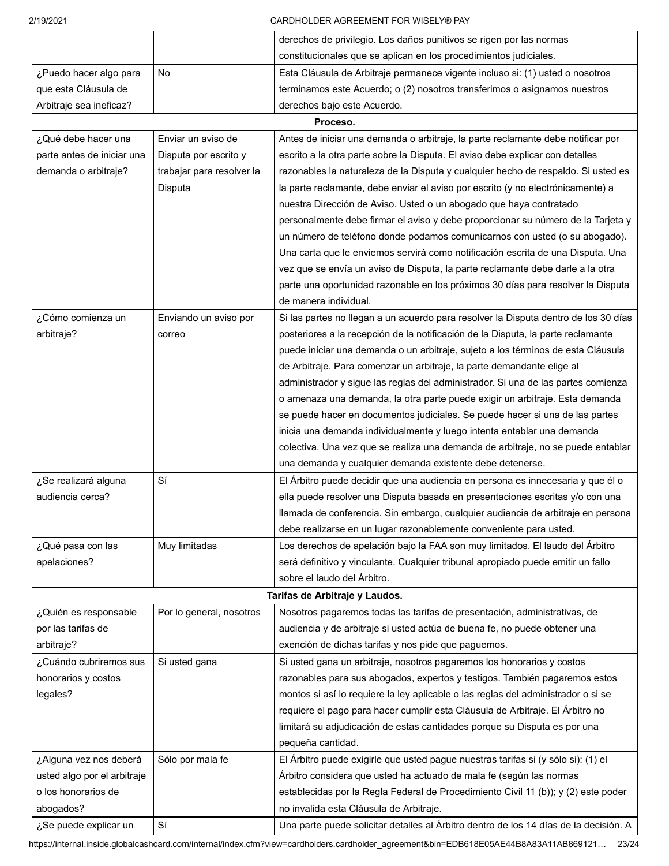| 2/19/2021                   |                           | CARDHOLDER AGREEMENT FOR WISELY® PAY                                                  |
|-----------------------------|---------------------------|---------------------------------------------------------------------------------------|
|                             |                           | derechos de privilegio. Los daños punitivos se rigen por las normas                   |
|                             |                           | constitucionales que se aplican en los procedimientos judiciales.                     |
| ¿Puedo hacer algo para      | <b>No</b>                 | Esta Cláusula de Arbitraje permanece vigente incluso si: (1) usted o nosotros         |
| que esta Cláusula de        |                           | terminamos este Acuerdo; o (2) nosotros transferimos o asignamos nuestros             |
| Arbitraje sea ineficaz?     |                           | derechos bajo este Acuerdo.                                                           |
|                             |                           | Proceso.                                                                              |
| ¿Qué debe hacer una         | Enviar un aviso de        | Antes de iniciar una demanda o arbitraje, la parte reclamante debe notificar por      |
| parte antes de iniciar una  | Disputa por escrito y     | escrito a la otra parte sobre la Disputa. El aviso debe explicar con detalles         |
| demanda o arbitraje?        | trabajar para resolver la | razonables la naturaleza de la Disputa y cualquier hecho de respaldo. Si usted es     |
|                             | Disputa                   | la parte reclamante, debe enviar el aviso por escrito (y no electrónicamente) a       |
|                             |                           | nuestra Dirección de Aviso. Usted o un abogado que haya contratado                    |
|                             |                           | personalmente debe firmar el aviso y debe proporcionar su número de la Tarjeta y      |
|                             |                           | un número de teléfono donde podamos comunicarnos con usted (o su abogado).            |
|                             |                           | Una carta que le enviemos servirá como notificación escrita de una Disputa. Una       |
|                             |                           | vez que se envía un aviso de Disputa, la parte reclamante debe darle a la otra        |
|                             |                           | parte una oportunidad razonable en los próximos 30 días para resolver la Disputa      |
|                             |                           | de manera individual.                                                                 |
| ¿Cómo comienza un           | Enviando un aviso por     | Si las partes no llegan a un acuerdo para resolver la Disputa dentro de los 30 días   |
| arbitraje?                  | correo                    | posteriores a la recepción de la notificación de la Disputa, la parte reclamante      |
|                             |                           | puede iniciar una demanda o un arbitraje, sujeto a los términos de esta Cláusula      |
|                             |                           | de Arbitraje. Para comenzar un arbitraje, la parte demandante elige al                |
|                             |                           | administrador y sigue las reglas del administrador. Si una de las partes comienza     |
|                             |                           | o amenaza una demanda, la otra parte puede exigir un arbitraje. Esta demanda          |
|                             |                           | se puede hacer en documentos judiciales. Se puede hacer si una de las partes          |
|                             |                           | inicia una demanda individualmente y luego intenta entablar una demanda               |
|                             |                           | colectiva. Una vez que se realiza una demanda de arbitraje, no se puede entablar      |
|                             |                           | una demanda y cualquier demanda existente debe detenerse.                             |
| ¿Se realizará alguna        | Sí                        | El Árbitro puede decidir que una audiencia en persona es innecesaria y que él o       |
| audiencia cerca?            |                           | ella puede resolver una Disputa basada en presentaciones escritas y/o con una         |
|                             |                           | llamada de conferencia. Sin embargo, cualquier audiencia de arbitraje en persona      |
|                             |                           | debe realizarse en un lugar razonablemente conveniente para usted.                    |
| ¿Qué pasa con las           | Muy limitadas             | Los derechos de apelación bajo la FAA son muy limitados. El laudo del Árbitro         |
| apelaciones?                |                           | será definitivo y vinculante. Cualquier tribunal apropiado puede emitir un fallo      |
|                             |                           | sobre el laudo del Árbitro.                                                           |
|                             |                           | Tarifas de Arbitraje y Laudos.                                                        |
| ¿Quién es responsable       | Por lo general, nosotros  | Nosotros pagaremos todas las tarifas de presentación, administrativas, de             |
| por las tarifas de          |                           | audiencia y de arbitraje si usted actúa de buena fe, no puede obtener una             |
| arbitraje?                  |                           | exención de dichas tarifas y nos pide que paguemos.                                   |
| ¿Cuándo cubriremos sus      | Si usted gana             | Si usted gana un arbitraje, nosotros pagaremos los honorarios y costos                |
| honorarios y costos         |                           | razonables para sus abogados, expertos y testigos. También pagaremos estos            |
| legales?                    |                           | montos si así lo requiere la ley aplicable o las reglas del administrador o si se     |
|                             |                           | requiere el pago para hacer cumplir esta Cláusula de Arbitraje. El Árbitro no         |
|                             |                           | limitará su adjudicación de estas cantidades porque su Disputa es por una             |
|                             |                           | pequeña cantidad.                                                                     |
| ¿Alguna vez nos deberá      | Sólo por mala fe          | El Árbitro puede exigirle que usted pague nuestras tarifas si (y sólo si): (1) el     |
| usted algo por el arbitraje |                           | Árbitro considera que usted ha actuado de mala fe (según las normas                   |
| o los honorarios de         |                           | establecidas por la Regla Federal de Procedimiento Civil 11 (b)); y (2) este poder    |
| abogados?                   |                           | no invalida esta Cláusula de Arbitraje.                                               |
| ¿Se puede explicar un       | Sí                        | Una parte puede solicitar detalles al Árbitro dentro de los 14 días de la decisión. A |

[https://internal.inside.globalcashcard.com/internal/index.cfm?view=cardholders.cardholder\\_agreement&bin=EDB618E05AE44B8A83A11AB869121](https://internal.inside.globalcashcard.com/internal/index.cfm?view=cardholders.cardholder_agreement&bin=EDB618E05AE44B8A83A11AB869121)… 23/24